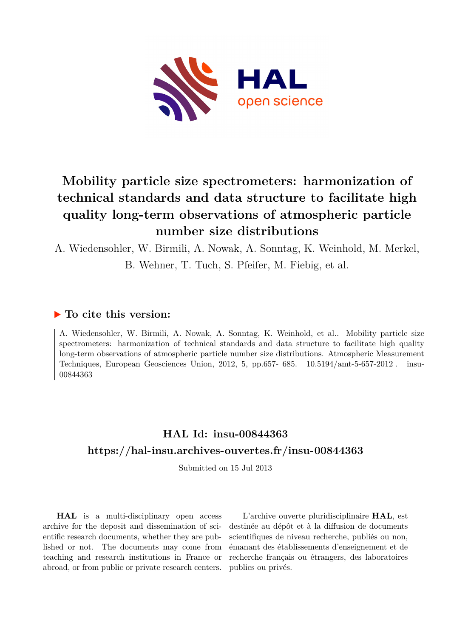

## **Mobility particle size spectrometers: harmonization of technical standards and data structure to facilitate high quality long-term observations of atmospheric particle number size distributions**

A. Wiedensohler, W. Birmili, A. Nowak, A. Sonntag, K. Weinhold, M. Merkel, B. Wehner, T. Tuch, S. Pfeifer, M. Fiebig, et al.

## **To cite this version:**

A. Wiedensohler, W. Birmili, A. Nowak, A. Sonntag, K. Weinhold, et al.. Mobility particle size spectrometers: harmonization of technical standards and data structure to facilitate high quality long-term observations of atmospheric particle number size distributions. Atmospheric Measurement Techniques, European Geosciences Union, 2012, 5, pp.657- 685.  $10.5194/amt-5-657-2012$ . insu-00844363

## **HAL Id: insu-00844363 <https://hal-insu.archives-ouvertes.fr/insu-00844363>**

Submitted on 15 Jul 2013

**HAL** is a multi-disciplinary open access archive for the deposit and dissemination of scientific research documents, whether they are published or not. The documents may come from teaching and research institutions in France or abroad, or from public or private research centers.

L'archive ouverte pluridisciplinaire **HAL**, est destinée au dépôt et à la diffusion de documents scientifiques de niveau recherche, publiés ou non, émanant des établissements d'enseignement et de recherche français ou étrangers, des laboratoires publics ou privés.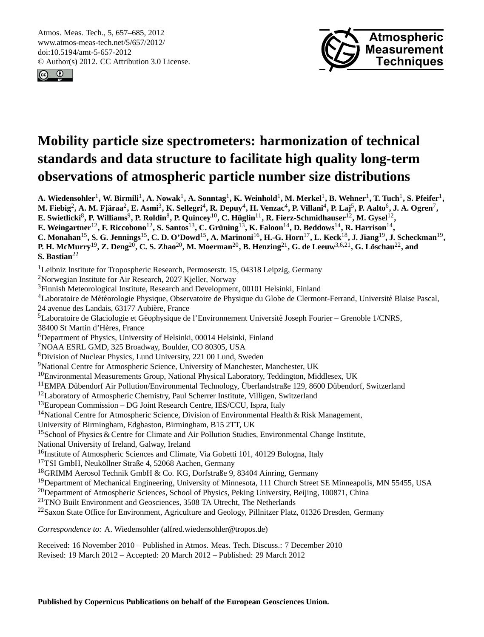<span id="page-1-0"></span>Atmos. Meas. Tech., 5, 657–685, 2012 www.atmos-meas-tech.net/5/657/2012/ doi:10.5194/amt-5-657-2012 © Author(s) 2012. CC Attribution 3.0 License.





# **Mobility particle size spectrometers: harmonization of technical standards and data structure to facilitate high quality long-term observations of atmospheric particle number size distributions**

A. Wiedensohler<sup>1</sup>, W. Birmili<sup>1</sup>, A. Nowak<sup>1</sup>, A. Sonntag<sup>1</sup>, K. Weinhold<sup>1</sup>, M. Merkel<sup>1</sup>, B. Wehner<sup>1</sup>, T. Tuch<sup>1</sup>, S. Pfeifer<sup>1</sup>, M. Fiebig<sup>2</sup>, A. M. Fjäraa<sup>2</sup>, E. Asmi<sup>3</sup>, K. Sellegri<sup>4</sup>, R. Depuy<sup>4</sup>, H. Venzac<sup>4</sup>, P. Villani<sup>4</sup>, P. Laj<sup>5</sup>, P. Aalto<sup>6</sup>, J. A. Ogren<sup>7</sup>,  ${\bf E.~Swietlicki}^8,$   ${\bf P.~Williams}^9,$   ${\bf P.~Roddin}^8,$   ${\bf P.~Quincey}^{10},$   ${\bf C.~Hüglin}^{11},$   ${\bf R.~Fierz-Schmidhausen}^{12},$   ${\bf M.~Gysel}^{12},$ **E. Weingartner**12**, F. Riccobono**12**, S. Santos**13**, C. Gruning ¨** <sup>13</sup>**, K. Faloon**14**, D. Beddows**14**, R. Harrison**<sup>14</sup> **, C. Monahan**15**, S. G. Jennings**15**, C. D. O'Dowd**15**, A. Marinoni**16**, H.-G. Horn**17**, L. Keck**18**, J. Jiang**19**, J. Scheckman**<sup>19</sup> **, P. H. McMurry**19**, Z. Deng**20**, C. S. Zhao**20**, M. Moerman**20**, B. Henzing**21**, G. de Leeuw**3,6,21**, G. Loschau ¨** <sup>22</sup>**, and S. Bastian**<sup>22</sup> <sup>1</sup>Leibniz Institute for Tropospheric Research, Permoserstr. 15, 04318 Leipzig, Germany <sup>2</sup>Norwegian Institute for Air Research, 2027 Kjeller, Norway <sup>3</sup>Finnish Meteorological Institute, Research and Development, 00101 Helsinki, Finland <sup>4</sup>Laboratoire de Météorologie Physique, Observatoire de Physique du Globe de Clermont-Ferrand, Université Blaise Pascal, 24 avenue des Landais, 63177 Aubiere, France `  $<sup>5</sup>$ Laboratoire de Glaciologie et Géophysique de l'Environnement Université Joseph Fourier – Grenoble 1/CNRS,</sup> 38400 St Martin d'Heres, France ` <sup>6</sup>Department of Physics, University of Helsinki, 00014 Helsinki, Finland <sup>7</sup>NOAA ESRL GMD, 325 Broadway, Boulder, CO 80305, USA <sup>8</sup>Division of Nuclear Physics, Lund University, 221 00 Lund, Sweden <sup>9</sup>National Centre for Atmospheric Science, University of Manchester, Manchester, UK <sup>10</sup>Environmental Measurements Group, National Physical Laboratory, Teddington, Middlesex, UK  $11$ EMPA Dübendorf Air Pollution/Environmental Technology, Überlandstraße 129, 8600 Dübendorf, Switzerland <sup>12</sup>Laboratory of Atmospheric Chemistry, Paul Scherrer Institute, Villigen, Switzerland  $13$ European Commission – DG Joint Research Centre, IES/CCU, Ispra, Italy <sup>14</sup>National Centre for Atmospheric Science, Division of Environmental Health & Risk Management, University of Birmingham, Edgbaston, Birmingham, B15 2TT, UK <sup>15</sup>School of Physics & Centre for Climate and Air Pollution Studies, Environmental Change Institute, National University of Ireland, Galway, Ireland <sup>16</sup>Institute of Atmospheric Sciences and Climate, Via Gobetti 101, 40129 Bologna, Italy <sup>17</sup>TSI GmbH, Neuköllner Straße 4, 52068 Aachen, Germany <sup>18</sup>GRIMM Aerosol Technik GmbH & Co. KG, Dorfstraße 9, 83404 Ainring, Germany <sup>19</sup>Department of Mechanical Engineering, University of Minnesota, 111 Church Street SE Minneapolis, MN 55455, USA <sup>20</sup>Department of Atmospheric Sciences, School of Physics, Peking University, Beijing, 100871, China <sup>21</sup>TNO Built Environment and Geosciences, 3508 TA Utrecht, The Netherlands <sup>22</sup>Saxon State Office for Environment, Agriculture and Geology, Pillnitzer Platz, 01326 Dresden, Germany *Correspondence to:* A. Wiedensohler (alfred.wiedensohler@tropos.de)

Received: 16 November 2010 – Published in Atmos. Meas. Tech. Discuss.: 7 December 2010 Revised: 19 March 2012 – Accepted: 20 March 2012 – Published: 29 March 2012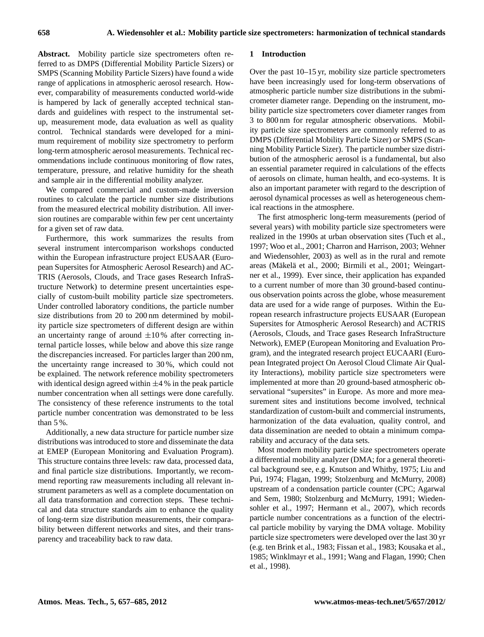**Abstract.** Mobility particle size spectrometers often referred to as DMPS (Differential Mobility Particle Sizers) or SMPS (Scanning Mobility Particle Sizers) have found a wide range of applications in atmospheric aerosol research. However, comparability of measurements conducted world-wide is hampered by lack of generally accepted technical standards and guidelines with respect to the instrumental setup, measurement mode, data evaluation as well as quality control. Technical standards were developed for a minimum requirement of mobility size spectrometry to perform long-term atmospheric aerosol measurements. Technical recommendations include continuous monitoring of flow rates, temperature, pressure, and relative humidity for the sheath and sample air in the differential mobility analyzer.

We compared commercial and custom-made inversion routines to calculate the particle number size distributions from the measured electrical mobility distribution. All inversion routines are comparable within few per cent uncertainty for a given set of raw data.

Furthermore, this work summarizes the results from several instrument intercomparison workshops conducted within the European infrastructure project EUSAAR (European Supersites for Atmospheric Aerosol Research) and AC-TRIS (Aerosols, Clouds, and Trace gases Research InfraStructure Network) to determine present uncertainties especially of custom-built mobility particle size spectrometers. Under controlled laboratory conditions, the particle number size distributions from 20 to 200 nm determined by mobility particle size spectrometers of different design are within an uncertainty range of around  $\pm 10\%$  after correcting internal particle losses, while below and above this size range the discrepancies increased. For particles larger than 200 nm, the uncertainty range increased to 30 %, which could not be explained. The network reference mobility spectrometers with identical design agreed within  $\pm 4$ % in the peak particle number concentration when all settings were done carefully. The consistency of these reference instruments to the total particle number concentration was demonstrated to be less than 5 %.

Additionally, a new data structure for particle number size distributions was introduced to store and disseminate the data at EMEP (European Monitoring and Evaluation Program). This structure contains three levels: raw data, processed data, and final particle size distributions. Importantly, we recommend reporting raw measurements including all relevant instrument parameters as well as a complete documentation on all data transformation and correction steps. These technical and data structure standards aim to enhance the quality of long-term size distribution measurements, their comparability between different networks and sites, and their transparency and traceability back to raw data.

#### **1 Introduction**

Over the past 10–15 yr, mobility size particle spectrometers have been increasingly used for long-term observations of atmospheric particle number size distributions in the submicrometer diameter range. Depending on the instrument, mobility particle size spectrometers cover diameter ranges from 3 to 800 nm for regular atmospheric observations. Mobility particle size spectrometers are commonly referred to as DMPS (Differential Mobility Particle Sizer) or SMPS (Scanning Mobility Particle Sizer). The particle number size distribution of the atmospheric aerosol is a fundamental, but also an essential parameter required in calculations of the effects of aerosols on climate, human health, and eco-systems. It is also an important parameter with regard to the description of aerosol dynamical processes as well as heterogeneous chemical reactions in the atmosphere.

The first atmospheric long-term measurements (period of several years) with mobility particle size spectrometers were realized in the 1990s at urban observation sites (Tuch et al., 1997; Woo et al., 2001; Charron and Harrison, 2003; Wehner and Wiedensohler, 2003) as well as in the rural and remote areas (Mäkelä et al., 2000; Birmili et al., 2001; Weingartner et al., 1999). Ever since, their application has expanded to a current number of more than 30 ground-based continuous observation points across the globe, whose measurement data are used for a wide range of purposes. Within the European research infrastructure projects EUSAAR (European Supersites for Atmospheric Aerosol Research) and ACTRIS (Aerosols, Clouds, and Trace gases Research InfraStructure Network), EMEP (European Monitoring and Evaluation Program), and the integrated research project EUCAARI (European Integrated project On Aerosol Cloud Climate Air Quality Interactions), mobility particle size spectrometers were implemented at more than 20 ground-based atmospheric observational "supersites" in Europe. As more and more measurement sites and institutions become involved, technical standardization of custom-built and commercial instruments, harmonization of the data evaluation, quality control, and data dissemination are needed to obtain a minimum comparability and accuracy of the data sets.

Most modern mobility particle size spectrometers operate a differential mobility analyzer (DMA; for a general theoretical background see, e.g. Knutson and Whitby, 1975; Liu and Pui, 1974; Flagan, 1999; Stolzenburg and McMurry, 2008) upstream of a condensation particle counter (CPC; Agarwal and Sem, 1980; Stolzenburg and McMurry, 1991; Wiedensohler et al., 1997; Hermann et al., 2007), which records particle number concentrations as a function of the electrical particle mobility by varying the DMA voltage. Mobility particle size spectrometers were developed over the last 30 yr (e.g. ten Brink et al., 1983; Fissan et al., 1983; Kousaka et al., 1985; Winklmayr et al., 1991; Wang and Flagan, 1990; Chen et al., 1998).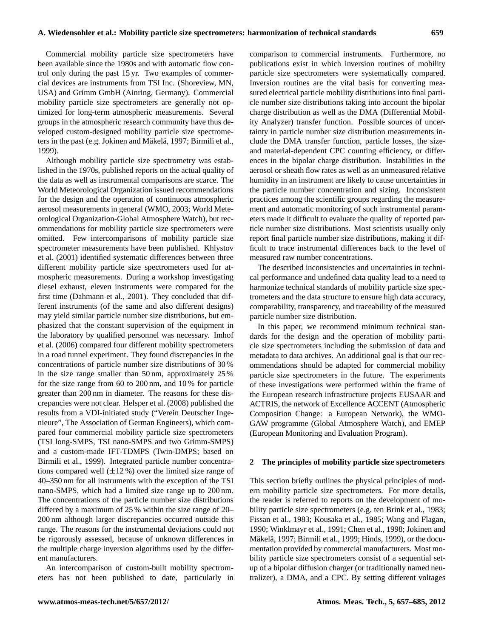Commercial mobility particle size spectrometers have been available since the 1980s and with automatic flow control only during the past 15 yr. Two examples of commercial devices are instruments from TSI Inc. (Shoreview, MN, USA) and Grimm GmbH (Ainring, Germany). Commercial mobility particle size spectrometers are generally not optimized for long-term atmospheric measurements. Several groups in the atmospheric research community have thus developed custom-designed mobility particle size spectrometers in the past (e.g. Jokinen and Mäkelä, 1997; Birmili et al., 1999).

Although mobility particle size spectrometry was established in the 1970s, published reports on the actual quality of the data as well as instrumental comparisons are scarce. The World Meteorological Organization issued recommendations for the design and the operation of continuous atmospheric aerosol measurements in general (WMO, 2003; World Meteorological Organization-Global Atmosphere Watch), but recommendations for mobility particle size spectrometers were omitted. Few intercomparisons of mobility particle size spectrometer measurements have been published. Khlystov et al. (2001) identified systematic differences between three different mobility particle size spectrometers used for atmospheric measurements. During a workshop investigating diesel exhaust, eleven instruments were compared for the first time (Dahmann et al., 2001). They concluded that different instruments (of the same and also different designs) may yield similar particle number size distributions, but emphasized that the constant supervision of the equipment in the laboratory by qualified personnel was necessary. Imhof et al. (2006) compared four different mobility spectrometers in a road tunnel experiment. They found discrepancies in the concentrations of particle number size distributions of 30 % in the size range smaller than 50 nm, approximately 25 % for the size range from 60 to 200 nm, and 10 % for particle greater than 200 nm in diameter. The reasons for these discrepancies were not clear. Helsper et al. (2008) published the results from a VDI-initiated study ("Verein Deutscher Ingenieure", The Association of German Engineers), which compared four commercial mobility particle size spectrometers (TSI long-SMPS, TSI nano-SMPS and two Grimm-SMPS) and a custom-made IFT-TDMPS (Twin-DMPS; based on Birmili et al., 1999). Integrated particle number concentrations compared well  $(\pm 12\%)$  over the limited size range of 40–350 nm for all instruments with the exception of the TSI nano-SMPS, which had a limited size range up to 200 nm. The concentrations of the particle number size distributions differed by a maximum of 25 % within the size range of 20– 200 nm although larger discrepancies occurred outside this range. The reasons for the instrumental deviations could not be rigorously assessed, because of unknown differences in the multiple charge inversion algorithms used by the different manufacturers.

An intercomparison of custom-built mobility spectrometers has not been published to date, particularly in comparison to commercial instruments. Furthermore, no publications exist in which inversion routines of mobility particle size spectrometers were systematically compared. Inversion routines are the vital basis for converting measured electrical particle mobility distributions into final particle number size distributions taking into account the bipolar charge distribution as well as the DMA (Differential Mobility Analyzer) transfer function. Possible sources of uncertainty in particle number size distribution measurements include the DMA transfer function, particle losses, the sizeand material-dependent CPC counting efficiency, or differences in the bipolar charge distribution. Instabilities in the aerosol or sheath flow rates as well as an unmeasured relative humidity in an instrument are likely to cause uncertainties in the particle number concentration and sizing. Inconsistent practices among the scientific groups regarding the measurement and automatic monitoring of such instrumental parameters made it difficult to evaluate the quality of reported particle number size distributions. Most scientists usually only report final particle number size distributions, making it difficult to trace instrumental differences back to the level of measured raw number concentrations.

The described inconsistencies and uncertainties in technical performance and undefined data quality lead to a need to harmonize technical standards of mobility particle size spectrometers and the data structure to ensure high data accuracy, comparability, transparency, and traceability of the measured particle number size distribution.

In this paper, we recommend minimum technical standards for the design and the operation of mobility particle size spectrometers including the submission of data and metadata to data archives. An additional goal is that our recommendations should be adapted for commercial mobility particle size spectrometers in the future. The experiments of these investigations were performed within the frame of the European research infrastructure projects EUSAAR and ACTRIS, the network of Excellence ACCENT (Atmospheric Composition Change: a European Network), the WMO-GAW programme (Global Atmosphere Watch), and EMEP (European Monitoring and Evaluation Program).

#### **2 The principles of mobility particle size spectrometers**

This section briefly outlines the physical principles of modern mobility particle size spectrometers. For more details, the reader is referred to reports on the development of mobility particle size spectrometers (e.g. ten Brink et al., 1983; Fissan et al., 1983; Kousaka et al., 1985; Wang and Flagan, 1990; Winklmayr et al., 1991; Chen et al., 1998; Jokinen and Mäkelä, 1997; Birmili et al., 1999; Hinds, 1999), or the documentation provided by commercial manufacturers. Most mobility particle size spectrometers consist of a sequential setup of a bipolar diffusion charger (or traditionally named neutralizer), a DMA, and a CPC. By setting different voltages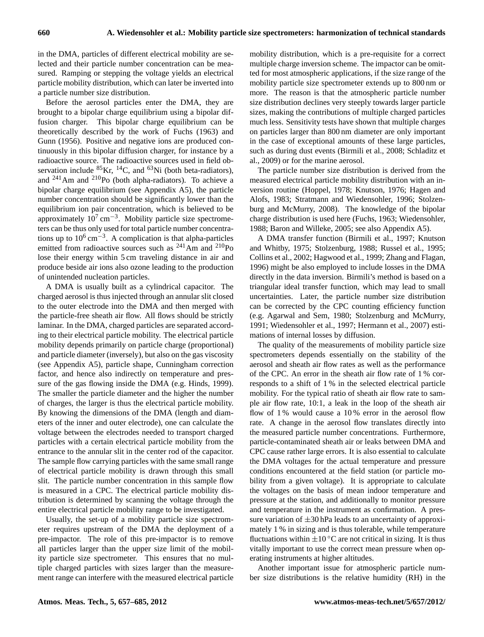in the DMA, particles of different electrical mobility are selected and their particle number concentration can be measured. Ramping or stepping the voltage yields an electrical particle mobility distribution, which can later be inverted into a particle number size distribution.

Before the aerosol particles enter the DMA, they are brought to a bipolar charge equilibrium using a bipolar diffusion charger. This bipolar charge equilibrium can be theoretically described by the work of Fuchs (1963) and Gunn (1956). Positive and negative ions are produced continuously in this bipolar diffusion charger, for instance by a radioactive source. The radioactive sources used in field observation include  ${}^{85}$ Kr,  ${}^{14}$ C, and  ${}^{63}$ Ni (both beta-radiators), and  $^{241}$ Am and  $^{210}$ Po (both alpha-radiators). To achieve a bipolar charge equilibrium (see Appendix A5), the particle number concentration should be significantly lower than the equilibrium ion pair concentration, which is believed to be approximately  $10^7 \text{ cm}^{-3}$ . Mobility particle size spectrometers can be thus only used for total particle number concentrations up to  $10^6 \text{ cm}^{-3}$ . A complication is that alpha-particles emitted from radioactive sources such as  $^{241}$ Am and  $^{210}$ Po lose their energy within 5 cm traveling distance in air and produce beside air ions also ozone leading to the production of unintended nucleation particles.

A DMA is usually built as a cylindrical capacitor. The charged aerosol is thus injected through an annular slit closed to the outer electrode into the DMA and then merged with the particle-free sheath air flow. All flows should be strictly laminar. In the DMA, charged particles are separated according to their electrical particle mobility. The electrical particle mobility depends primarily on particle charge (proportional) and particle diameter (inversely), but also on the gas viscosity (see Appendix A5), particle shape, Cunningham correction factor, and hence also indirectly on temperature and pressure of the gas flowing inside the DMA (e.g. Hinds, 1999). The smaller the particle diameter and the higher the number of charges, the larger is thus the electrical particle mobility. By knowing the dimensions of the DMA (length and diameters of the inner and outer electrode), one can calculate the voltage between the electrodes needed to transport charged particles with a certain electrical particle mobility from the entrance to the annular slit in the center rod of the capacitor. The sample flow carrying particles with the same small range of electrical particle mobility is drawn through this small slit. The particle number concentration in this sample flow is measured in a CPC. The electrical particle mobility distribution is determined by scanning the voltage through the entire electrical particle mobility range to be investigated.

Usually, the set-up of a mobility particle size spectrometer requires upstream of the DMA the deployment of a pre-impactor. The role of this pre-impactor is to remove all particles larger than the upper size limit of the mobility particle size spectrometer. This ensures that no multiple charged particles with sizes larger than the measurement range can interfere with the measured electrical particle mobility distribution, which is a pre-requisite for a correct multiple charge inversion scheme. The impactor can be omitted for most atmospheric applications, if the size range of the mobility particle size spectrometer extends up to 800 nm or more. The reason is that the atmospheric particle number size distribution declines very steeply towards larger particle sizes, making the contributions of multiple charged particles much less. Sensitivity tests have shown that multiple charges on particles larger than 800 nm diameter are only important in the case of exceptional amounts of these large particles, such as during dust events (Birmili et al., 2008; Schladitz et al., 2009) or for the marine aerosol.

The particle number size distribution is derived from the measured electrical particle mobility distribution with an inversion routine (Hoppel, 1978; Knutson, 1976; Hagen and Alofs, 1983; Stratmann and Wiedensohler, 1996; Stolzenburg and McMurry, 2008). The knowledge of the bipolar charge distribution is used here (Fuchs, 1963; Wiedensohler, 1988; Baron and Willeke, 2005; see also Appendix A5).

A DMA transfer function (Birmili et al., 1997; Knutson and Whitby, 1975; Stolzenburg, 1988; Russel et al., 1995; Collins et al., 2002; Hagwood et al., 1999; Zhang and Flagan, 1996) might be also employed to include losses in the DMA directly in the data inversion. Birmili's method is based on a triangular ideal transfer function, which may lead to small uncertainties. Later, the particle number size distribution can be corrected by the CPC counting efficiency function (e.g. Agarwal and Sem, 1980; Stolzenburg and McMurry, 1991; Wiedensohler et al., 1997; Hermann et al., 2007) estimations of internal losses by diffusion.

The quality of the measurements of mobility particle size spectrometers depends essentially on the stability of the aerosol and sheath air flow rates as well as the performance of the CPC. An error in the sheath air flow rate of 1 % corresponds to a shift of 1 % in the selected electrical particle mobility. For the typical ratio of sheath air flow rate to sample air flow rate, 10:1, a leak in the loop of the sheath air flow of 1% would cause a 10% error in the aerosol flow rate. A change in the aerosol flow translates directly into the measured particle number concentrations. Furthermore, particle-contaminated sheath air or leaks between DMA and CPC cause rather large errors. It is also essential to calculate the DMA voltages for the actual temperature and pressure conditions encountered at the field station (or particle mobility from a given voltage). It is appropriate to calculate the voltages on the basis of mean indoor temperature and pressure at the station, and additionally to monitor pressure and temperature in the instrument as confirmation. A pressure variation of  $\pm 30$  hPa leads to an uncertainty of approximately 1 % in sizing and is thus tolerable, while temperature fluctuations within  $\pm 10^{\circ}$ C are not critical in sizing. It is thus vitally important to use the correct mean pressure when operating instruments at higher altitudes.

Another important issue for atmospheric particle number size distributions is the relative humidity (RH) in the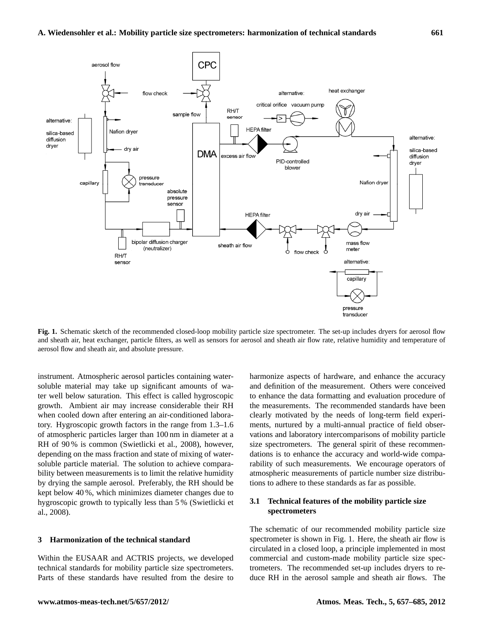

**Fig. 1.** Schematic sketch of the recommended closed-loop mobility particle size spectrometer. The set-up includes dryers for aerosol flow and sheath air, heat exchanger, particle filters, as well as sensors for aerosol and sheath air flow rate, relative humidity and temperature of aerosol flow and sheath air, and absolute pressure.

instrument. Atmospheric aerosol particles containing watersoluble material may take up significant amounts of water well below saturation. This effect is called hygroscopic growth. Ambient air may increase considerable their RH when cooled down after entering an air-conditioned laboratory. Hygroscopic growth factors in the range from 1.3–1.6 of atmospheric particles larger than 100 nm in diameter at a RH of 90 % is common (Swietlicki et al., 2008), however, depending on the mass fraction and state of mixing of watersoluble particle material. The solution to achieve comparability between measurements is to limit the relative humidity by drying the sample aerosol. Preferably, the RH should be kept below 40 %, which minimizes diameter changes due to hygroscopic growth to typically less than 5 % (Swietlicki et al., 2008).

#### **3 Harmonization of the technical standard**

Within the EUSAAR and ACTRIS projects, we developed technical standards for mobility particle size spectrometers. Parts of these standards have resulted from the desire to harmonize aspects of hardware, and enhance the accuracy and definition of the measurement. Others were conceived to enhance the data formatting and evaluation procedure of the measurements. The recommended standards have been clearly motivated by the needs of long-term field experiments, nurtured by a multi-annual practice of field observations and laboratory intercomparisons of mobility particle size spectrometers. The general spirit of these recommendations is to enhance the accuracy and world-wide comparability of such measurements. We encourage operators of atmospheric measurements of particle number size distributions to adhere to these standards as far as possible.

## **3.1 Technical features of the mobility particle size spectrometers**

The schematic of our recommended mobility particle size spectrometer is shown in Fig. 1. Here, the sheath air flow is circulated in a closed loop, a principle implemented in most commercial and custom-made mobility particle size spectrometers. The recommended set-up includes dryers to reduce RH in the aerosol sample and sheath air flows. The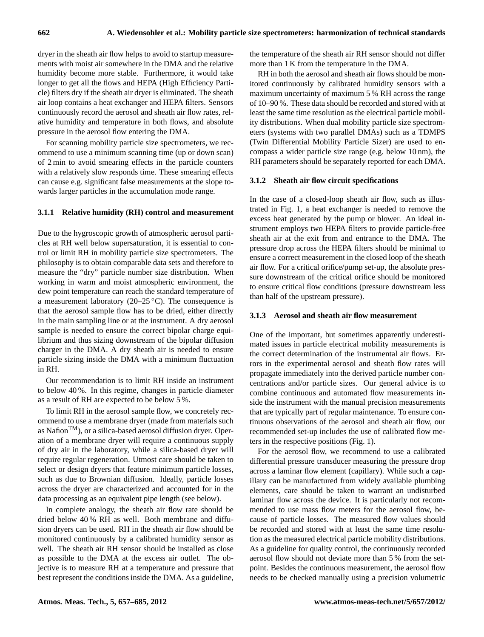dryer in the sheath air flow helps to avoid to startup measurements with moist air somewhere in the DMA and the relative humidity become more stable. Furthermore, it would take longer to get all the flows and HEPA (High Efficiency Particle) filters dry if the sheath air dryer is eliminated. The sheath air loop contains a heat exchanger and HEPA filters. Sensors continuously record the aerosol and sheath air flow rates, relative humidity and temperature in both flows, and absolute pressure in the aerosol flow entering the DMA.

For scanning mobility particle size spectrometers, we recommend to use a minimum scanning time (up or down scan) of 2 min to avoid smearing effects in the particle counters with a relatively slow responds time. These smearing effects can cause e.g. significant false measurements at the slope towards larger particles in the accumulation mode range.

#### **3.1.1 Relative humidity (RH) control and measurement**

Due to the hygroscopic growth of atmospheric aerosol particles at RH well below supersaturation, it is essential to control or limit RH in mobility particle size spectrometers. The philosophy is to obtain comparable data sets and therefore to measure the "dry" particle number size distribution. When working in warm and moist atmospheric environment, the dew point temperature can reach the standard temperature of a measurement laboratory (20–25 °C). The consequence is that the aerosol sample flow has to be dried, either directly in the main sampling line or at the instrument. A dry aerosol sample is needed to ensure the correct bipolar charge equilibrium and thus sizing downstream of the bipolar diffusion charger in the DMA. A dry sheath air is needed to ensure particle sizing inside the DMA with a minimum fluctuation in RH.

Our recommendation is to limit RH inside an instrument to below 40 %. In this regime, changes in particle diameter as a result of RH are expected to be below 5 %.

To limit RH in the aerosol sample flow, we concretely recommend to use a membrane dryer (made from materials such as Nafion<sup>TM</sup>), or a silica-based aerosol diffusion dryer. Operation of a membrane dryer will require a continuous supply of dry air in the laboratory, while a silica-based dryer will require regular regeneration. Utmost care should be taken to select or design dryers that feature minimum particle losses, such as due to Brownian diffusion. Ideally, particle losses across the dryer are characterized and accounted for in the data processing as an equivalent pipe length (see below).

In complete analogy, the sheath air flow rate should be dried below 40 % RH as well. Both membrane and diffusion dryers can be used. RH in the sheath air flow should be monitored continuously by a calibrated humidity sensor as well. The sheath air RH sensor should be installed as close as possible to the DMA at the excess air outlet. The objective is to measure RH at a temperature and pressure that best represent the conditions inside the DMA. As a guideline, the temperature of the sheath air RH sensor should not differ more than 1 K from the temperature in the DMA.

RH in both the aerosol and sheath air flows should be monitored continuously by calibrated humidity sensors with a maximum uncertainty of maximum 5 % RH across the range of 10–90 %. These data should be recorded and stored with at least the same time resolution as the electrical particle mobility distributions. When dual mobility particle size spectrometers (systems with two parallel DMAs) such as a TDMPS (Twin Differential Mobility Particle Sizer) are used to encompass a wider particle size range (e.g. below 10 nm), the RH parameters should be separately reported for each DMA.

#### **3.1.2 Sheath air flow circuit specifications**

In the case of a closed-loop sheath air flow, such as illustrated in Fig. 1, a heat exchanger is needed to remove the excess heat generated by the pump or blower. An ideal instrument employs two HEPA filters to provide particle-free sheath air at the exit from and entrance to the DMA. The pressure drop across the HEPA filters should be minimal to ensure a correct measurement in the closed loop of the sheath air flow. For a critical orifice/pump set-up, the absolute pressure downstream of the critical orifice should be monitored to ensure critical flow conditions (pressure downstream less than half of the upstream pressure).

### **3.1.3 Aerosol and sheath air flow measurement**

One of the important, but sometimes apparently underestimated issues in particle electrical mobility measurements is the correct determination of the instrumental air flows. Errors in the experimental aerosol and sheath flow rates will propagate immediately into the derived particle number concentrations and/or particle sizes. Our general advice is to combine continuous and automated flow measurements inside the instrument with the manual precision measurements that are typically part of regular maintenance. To ensure continuous observations of the aerosol and sheath air flow, our recommended set-up includes the use of calibrated flow meters in the respective positions (Fig. 1).

For the aerosol flow, we recommend to use a calibrated differential pressure transducer measuring the pressure drop across a laminar flow element (capillary). While such a capillary can be manufactured from widely available plumbing elements, care should be taken to warrant an undisturbed laminar flow across the device. It is particularly not recommended to use mass flow meters for the aerosol flow, because of particle losses. The measured flow values should be recorded and stored with at least the same time resolution as the measured electrical particle mobility distributions. As a guideline for quality control, the continuously recorded aerosol flow should not deviate more than 5 % from the setpoint. Besides the continuous measurement, the aerosol flow needs to be checked manually using a precision volumetric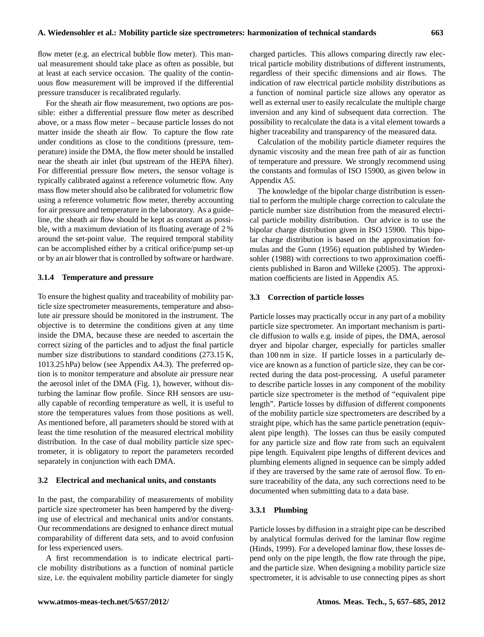flow meter (e.g. an electrical bubble flow meter). This manual measurement should take place as often as possible, but at least at each service occasion. The quality of the continuous flow measurement will be improved if the differential pressure transducer is recalibrated regularly.

For the sheath air flow measurement, two options are possible: either a differential pressure flow meter as described above, or a mass flow meter – because particle losses do not matter inside the sheath air flow. To capture the flow rate under conditions as close to the conditions (pressure, temperature) inside the DMA, the flow meter should be installed near the sheath air inlet (but upstream of the HEPA filter). For differential pressure flow meters, the sensor voltage is typically calibrated against a reference volumetric flow. Any mass flow meter should also be calibrated for volumetric flow using a reference volumetric flow meter, thereby accounting for air pressure and temperature in the laboratory. As a guideline, the sheath air flow should be kept as constant as possible, with a maximum deviation of its floating average of 2 % around the set-point value. The required temporal stability can be accomplished either by a critical orifice/pump set-up or by an air blower that is controlled by software or hardware.

#### **3.1.4 Temperature and pressure**

To ensure the highest quality and traceability of mobility particle size spectrometer measurements, temperature and absolute air pressure should be monitored in the instrument. The objective is to determine the conditions given at any time inside the DMA, because these are needed to ascertain the correct sizing of the particles and to adjust the final particle number size distributions to standard conditions (273.15 K, 1013.25 hPa) below (see Appendix A4.3). The preferred option is to monitor temperature and absolute air pressure near the aerosol inlet of the DMA (Fig. 1), however, without disturbing the laminar flow profile. Since RH sensors are usually capable of recording temperature as well, it is useful to store the temperatures values from those positions as well. As mentioned before, all parameters should be stored with at least the time resolution of the measured electrical mobility distribution. In the case of dual mobility particle size spectrometer, it is obligatory to report the parameters recorded separately in conjunction with each DMA.

#### **3.2 Electrical and mechanical units, and constants**

In the past, the comparability of measurements of mobility particle size spectrometer has been hampered by the diverging use of electrical and mechanical units and/or constants. Our recommendations are designed to enhance direct mutual comparability of different data sets, and to avoid confusion for less experienced users.

A first recommendation is to indicate electrical particle mobility distributions as a function of nominal particle size, i.e. the equivalent mobility particle diameter for singly charged particles. This allows comparing directly raw electrical particle mobility distributions of different instruments, regardless of their specific dimensions and air flows. The indication of raw electrical particle mobility distributions as a function of nominal particle size allows any operator as well as external user to easily recalculate the multiple charge inversion and any kind of subsequent data correction. The possibility to recalculate the data is a vital element towards a higher traceability and transparency of the measured data.

Calculation of the mobility particle diameter requires the dynamic viscosity and the mean free path of air as function of temperature and pressure. We strongly recommend using the constants and formulas of ISO 15900, as given below in Appendix A5.

The knowledge of the bipolar charge distribution is essential to perform the multiple charge correction to calculate the particle number size distribution from the measured electrical particle mobility distribution. Our advice is to use the bipolar charge distribution given in ISO 15900. This bipolar charge distribution is based on the approximation formulas and the Gunn (1956) equation published by Wiedensohler (1988) with corrections to two approximation coefficients published in Baron and Willeke (2005). The approximation coefficients are listed in Appendix A5.

#### **3.3 Correction of particle losses**

Particle losses may practically occur in any part of a mobility particle size spectrometer. An important mechanism is particle diffusion to walls e.g. inside of pipes, the DMA, aerosol dryer and bipolar charger, especially for particles smaller than 100 nm in size. If particle losses in a particularly device are known as a function of particle size, they can be corrected during the data post-processing. A useful parameter to describe particle losses in any component of the mobility particle size spectrometer is the method of "equivalent pipe length". Particle losses by diffusion of different components of the mobility particle size spectrometers are described by a straight pipe, which has the same particle penetration (equivalent pipe length). The losses can thus be easily computed for any particle size and flow rate from such an equivalent pipe length. Equivalent pipe lengths of different devices and plumbing elements aligned in sequence can be simply added if they are traversed by the same rate of aerosol flow. To ensure traceability of the data, any such corrections need to be documented when submitting data to a data base.

#### **3.3.1 Plumbing**

Particle losses by diffusion in a straight pipe can be described by analytical formulas derived for the laminar flow regime (Hinds, 1999). For a developed laminar flow, these losses depend only on the pipe length, the flow rate through the pipe, and the particle size. When designing a mobility particle size spectrometer, it is advisable to use connecting pipes as short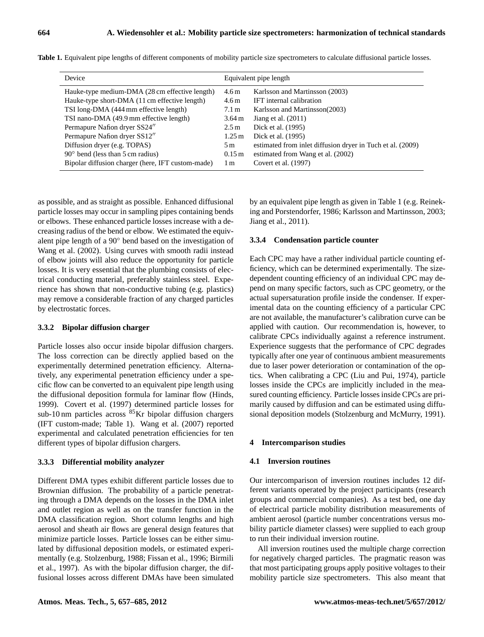| Device                                            |                     | Equivalent pipe length                                     |  |
|---------------------------------------------------|---------------------|------------------------------------------------------------|--|
| Hauke-type medium-DMA (28 cm effective length)    | 4.6 <sub>m</sub>    | Karlsson and Martinsson (2003)                             |  |
| Hauke-type short-DMA (11 cm effective length)     | 4.6m                | <b>IFT</b> internal calibration                            |  |
| TSI long-DMA (444 mm effective length)            | 7.1 m               | Karlsson and Martinsson(2003)                              |  |
| TSI nano-DMA (49.9 mm effective length)           | $3.64 \,\mathrm{m}$ | Jiang et al. $(2011)$                                      |  |
| Permapure Nafion dryer SS24"                      | 2.5 m               | Dick et al. (1995)                                         |  |
| Permapure Nafion dryer SS12"                      | 1.25 m              | Dick et al. (1995)                                         |  |
| Diffusion dryer (e.g. TOPAS)                      | 5m                  | estimated from inlet diffusion dryer in Tuch et al. (2009) |  |
| $90^{\circ}$ bend (less than 5 cm radius)         | $0.15 \,\mathrm{m}$ | estimated from Wang et al. (2002)                          |  |
| Bipolar diffusion charger (here, IFT custom-made) | 1 <sub>m</sub>      | Covert et al. (1997)                                       |  |

**Table 1.** Equivalent pipe lengths of different components of mobility particle size spectrometers to calculate diffusional particle losses.

as possible, and as straight as possible. Enhanced diffusional particle losses may occur in sampling pipes containing bends or elbows. These enhanced particle losses increase with a decreasing radius of the bend or elbow. We estimated the equivalent pipe length of a 90◦ bend based on the investigation of Wang et al. (2002). Using curves with smooth radii instead of elbow joints will also reduce the opportunity for particle losses. It is very essential that the plumbing consists of electrical conducting material, preferably stainless steel. Experience has shown that non-conductive tubing (e.g. plastics) may remove a considerable fraction of any charged particles by electrostatic forces.

#### **3.3.2 Bipolar diffusion charger**

Particle losses also occur inside bipolar diffusion chargers. The loss correction can be directly applied based on the experimentally determined penetration efficiency. Alternatively, any experimental penetration efficiency under a specific flow can be converted to an equivalent pipe length using the diffusional deposition formula for laminar flow (Hinds, 1999). Covert et al. (1997) determined particle losses for sub-10 nm particles across  $^{85}$ Kr bipolar diffusion chargers (IFT custom-made; Table 1). Wang et al. (2007) reported experimental and calculated penetration efficiencies for ten different types of bipolar diffusion chargers.

#### **3.3.3 Differential mobility analyzer**

Different DMA types exhibit different particle losses due to Brownian diffusion. The probability of a particle penetrating through a DMA depends on the losses in the DMA inlet and outlet region as well as on the transfer function in the DMA classification region. Short column lengths and high aerosol and sheath air flows are general design features that minimize particle losses. Particle losses can be either simulated by diffusional deposition models, or estimated experimentally (e.g. Stolzenburg, 1988; Fissan et al., 1996; Birmili et al., 1997). As with the bipolar diffusion charger, the diffusional losses across different DMAs have been simulated by an equivalent pipe length as given in Table 1 (e.g. Reineking and Porstendorfer, 1986; Karlsson and Martinsson, 2003; Jiang et al., 2011).

#### **3.3.4 Condensation particle counter**

Each CPC may have a rather individual particle counting efficiency, which can be determined experimentally. The sizedependent counting efficiency of an individual CPC may depend on many specific factors, such as CPC geometry, or the actual supersaturation profile inside the condenser. If experimental data on the counting efficiency of a particular CPC are not available, the manufacturer's calibration curve can be applied with caution. Our recommendation is, however, to calibrate CPCs individually against a reference instrument. Experience suggests that the performance of CPC degrades typically after one year of continuous ambient measurements due to laser power deterioration or contamination of the optics. When calibrating a CPC (Liu and Pui, 1974), particle losses inside the CPCs are implicitly included in the measured counting efficiency. Particle losses inside CPCs are primarily caused by diffusion and can be estimated using diffusional deposition models (Stolzenburg and McMurry, 1991).

#### **4 Intercomparison studies**

## **4.1 Inversion routines**

Our intercomparison of inversion routines includes 12 different variants operated by the project participants (research groups and commercial companies). As a test bed, one day of electrical particle mobility distribution measurements of ambient aerosol (particle number concentrations versus mobility particle diameter classes) were supplied to each group to run their individual inversion routine.

All inversion routines used the multiple charge correction for negatively charged particles. The pragmatic reason was that most participating groups apply positive voltages to their mobility particle size spectrometers. This also meant that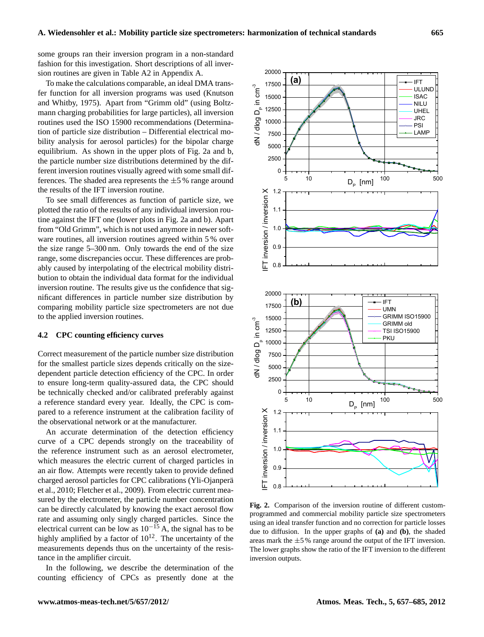some groups ran their inversion program in a non-standard fashion for this investigation. Short descriptions of all inversion routines are given in Table A2 in Appendix A.

To make the calculations comparable, an ideal DMA transfer function for all inversion programs was used (Knutson and Whitby, 1975). Apart from "Grimm old" (using Boltzmann charging probabilities for large particles), all inversion routines used the ISO 15900 recommendations (Determination of particle size distribution – Differential electrical mobility analysis for aerosol particles) for the bipolar charge equilibrium. As shown in the upper plots of Fig. 2a and b, the particle number size distributions determined by the different inversion routines visually agreed with some small differences. The shaded area represents the  $\pm$ 5 % range around the results of the IFT inversion routine.

To see small differences as function of particle size, we plotted the ratio of the results of any individual inversion routine against the IFT one (lower plots in Fig. 2a and b). Apart from "Old Grimm", which is not used anymore in newer software routines, all inversion routines agreed within 5 % over the size range 5–300 nm. Only towards the end of the size range, some discrepancies occur. These differences are probably caused by interpolating of the electrical mobility distribution to obtain the individual data format for the individual inversion routine. The results give us the confidence that significant differences in particle number size distribution by comparing mobility particle size spectrometers are not due to the applied inversion routines.

#### **4.2 CPC counting efficiency curves**

Correct measurement of the particle number size distribution for the smallest particle sizes depends critically on the sizedependent particle detection efficiency of the CPC. In order to ensure long-term quality-assured data, the CPC should be technically checked and/or calibrated preferably against a reference standard every year. Ideally, the CPC is compared to a reference instrument at the calibration facility of the observational network or at the manufacturer.

An accurate determination of the detection efficiency curve of a CPC depends strongly on the traceability of the reference instrument such as an aerosol electrometer, which measures the electric current of charged particles in an air flow. Attempts were recently taken to provide defined charged aerosol particles for CPC calibrations (Yli-Ojanpera¨ et al., 2010; Fletcher et al., 2009). From electric current measured by the electrometer, the particle number concentration can be directly calculated by knowing the exact aerosol flow rate and assuming only singly charged particles. Since the electrical current can be low as  $10^{-15}$  A, the signal has to be highly amplified by a factor of  $10^{12}$ . The uncertainty of the measurements depends thus on the uncertainty of the resistance in the amplifier circuit.

In the following, we describe the determination of the counting efficiency of CPCs as presently done at the



**Fig. 2.** Comparison of the inversion routine of different customprogrammed and commercial mobility particle size spectrometers using an ideal transfer function and no correction for particle losses due to diffusion. In the upper graphs of **(a)** and **(b)**, the shaded areas mark the  $\pm 5$ % range around the output of the IFT inversion. The lower graphs show the ratio of the IFT inversion to the different inversion outputs.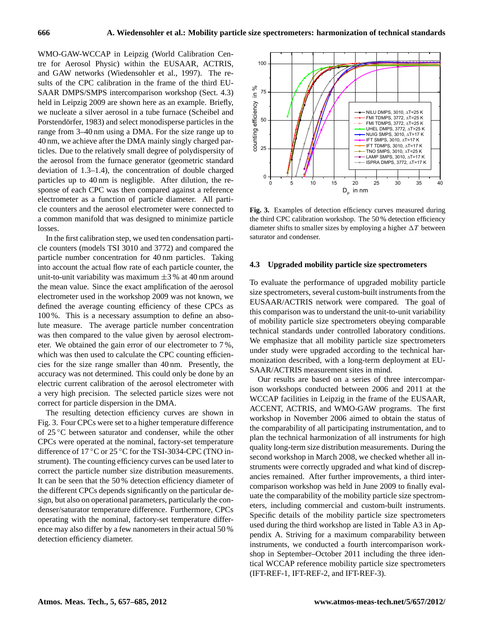WMO-GAW-WCCAP in Leipzig (World Calibration Centre for Aerosol Physic) within the EUSAAR, ACTRIS, and GAW networks (Wiedensohler et al., 1997). The results of the CPC calibration in the frame of the third EU-SAAR DMPS/SMPS intercomparison workshop (Sect. 4.3) held in Leipzig 2009 are shown here as an example. Briefly, we nucleate a silver aerosol in a tube furnace (Scheibel and Porstendörfer, 1983) and select monodisperse particles in the range from 3–40 nm using a DMA. For the size range up to 40 nm, we achieve after the DMA mainly singly charged particles. Due to the relatively small degree of polydispersity of the aerosol from the furnace generator (geometric standard deviation of 1.3–1.4), the concentration of double charged particles up to 40 nm is negligible. After dilution, the response of each CPC was then compared against a reference electrometer as a function of particle diameter. All particle counters and the aerosol electrometer were connected to a common manifold that was designed to minimize particle losses.

In the first calibration step, we used ten condensation particle counters (models TSI 3010 and 3772) and compared the particle number concentration for 40 nm particles. Taking into account the actual flow rate of each particle counter, the unit-to-unit variability was maximum  $\pm 3$  % at 40 nm around the mean value. Since the exact amplification of the aerosol electrometer used in the workshop 2009 was not known, we defined the average counting efficiency of these CPCs as 100 %. This is a necessary assumption to define an absolute measure. The average particle number concentration was then compared to the value given by aerosol electrometer. We obtained the gain error of our electrometer to 7 %, which was then used to calculate the CPC counting efficiencies for the size range smaller than 40 nm. Presently, the accuracy was not determined. This could only be done by an electric current calibration of the aerosol electrometer with a very high precision. The selected particle sizes were not correct for particle dispersion in the DMA.

The resulting detection efficiency curves are shown in Fig. 3. Four CPCs were set to a higher temperature difference of 25 ◦C between saturator and condenser, while the other CPCs were operated at the nominal, factory-set temperature difference of  $17 \degree C$  or  $25 \degree C$  for the TSI-3034-CPC (TNO instrument). The counting efficiency curves can be used later to correct the particle number size distribution measurements. It can be seen that the 50 % detection efficiency diameter of the different CPCs depends significantly on the particular design, but also on operational parameters, particularly the condenser/saturator temperature difference. Furthermore, CPCs operating with the nominal, factory-set temperature difference may also differ by a few nanometers in their actual 50 % detection efficiency diameter.



**Fig. 3.** Examples of detection efficiency curves measured during the third CPC calibration workshop. The 50 % detection efficiency diameter shifts to smaller sizes by employing a higher  $\Delta T$  between saturator and condenser.

#### **4.3 Upgraded mobility particle size spectrometers**

To evaluate the performance of upgraded mobility particle size spectrometers, several custom-built instruments from the EUSAAR/ACTRIS network were compared. The goal of this comparison was to understand the unit-to-unit variability of mobility particle size spectrometers obeying comparable technical standards under controlled laboratory conditions. We emphasize that all mobility particle size spectrometers under study were upgraded according to the technical harmonization described, with a long-term deployment at EU-SAAR/ACTRIS measurement sites in mind.

Our results are based on a series of three intercomparison workshops conducted between 2006 and 2011 at the WCCAP facilities in Leipzig in the frame of the EUSAAR, ACCENT, ACTRIS, and WMO-GAW programs. The first workshop in November 2006 aimed to obtain the status of the comparability of all participating instrumentation, and to plan the technical harmonization of all instruments for high quality long-term size distribution measurements. During the second workshop in March 2008, we checked whether all instruments were correctly upgraded and what kind of discrepancies remained. After further improvements, a third intercomparison workshop was held in June 2009 to finally evaluate the comparability of the mobility particle size spectrometers, including commercial and custom-built instruments. Specific details of the mobility particle size spectrometers used during the third workshop are listed in Table A3 in Appendix A. Striving for a maximum comparability between instruments, we conducted a fourth intercomparison workshop in September–October 2011 including the three identical WCCAP reference mobility particle size spectrometers (IFT-REF-1, IFT-REF-2, and IFT-REF-3).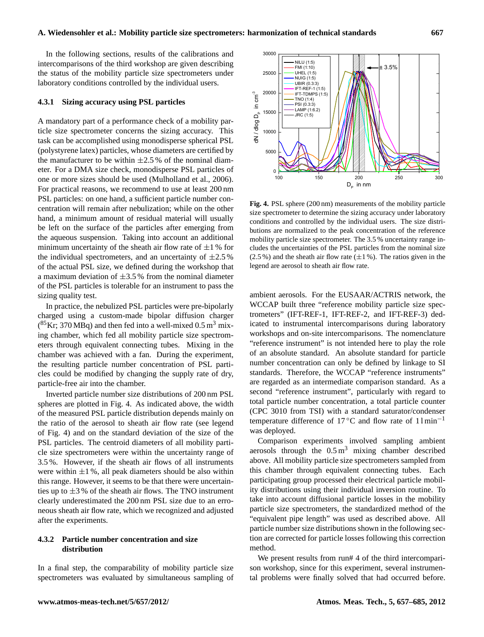In the following sections, results of the calibrations and intercomparisons of the third workshop are given describing the status of the mobility particle size spectrometers under laboratory conditions controlled by the individual users.

#### **4.3.1 Sizing accuracy using PSL particles**

A mandatory part of a performance check of a mobility particle size spectrometer concerns the sizing accuracy. This task can be accomplished using monodisperse spherical PSL (polystyrene latex) particles, whose diameters are certified by the manufacturer to be within  $\pm 2.5$  % of the nominal diameter. For a DMA size check, monodisperse PSL particles of one or more sizes should be used (Mulholland et al., 2006). For practical reasons, we recommend to use at least 200 nm PSL particles: on one hand, a sufficient particle number concentration will remain after nebulization; while on the other hand, a minimum amount of residual material will usually be left on the surface of the particles after emerging from the aqueous suspension. Taking into account an additional minimum uncertainty of the sheath air flow rate of  $\pm 1$ % for the individual spectrometers, and an uncertainty of  $\pm 2.5$ % of the actual PSL size, we defined during the workshop that a maximum deviation of  $\pm 3.5$ % from the nominal diameter of the PSL particles is tolerable for an instrument to pass the sizing quality test.

In practice, the nebulized PSL particles were pre-bipolarly charged using a custom-made bipolar diffusion charger  $(^{85}$ Kr; 370 MBq) and then fed into a well-mixed 0.5 m<sup>3</sup> mixing chamber, which fed all mobility particle size spectrometers through equivalent connecting tubes. Mixing in the chamber was achieved with a fan. During the experiment, the resulting particle number concentration of PSL particles could be modified by changing the supply rate of dry, particle-free air into the chamber.

Inverted particle number size distributions of 200 nm PSL spheres are plotted in Fig. 4. As indicated above, the width of the measured PSL particle distribution depends mainly on the ratio of the aerosol to sheath air flow rate (see legend of Fig. 4) and on the standard deviation of the size of the PSL particles. The centroid diameters of all mobility particle size spectrometers were within the uncertainty range of 3.5 %. However, if the sheath air flows of all instruments were within  $\pm 1$ %, all peak diameters should be also within this range. However, it seems to be that there were uncertainties up to  $\pm 3$ % of the sheath air flows. The TNO instrument clearly underestimated the 200 nm PSL size due to an erroneous sheath air flow rate, which we recognized and adjusted after the experiments.

## **4.3.2 Particle number concentration and size distribution**

In a final step, the comparability of mobility particle size spectrometers was evaluated by simultaneous sampling of



**Fig. 4.** PSL sphere (200 nm) measurements of the mobility particle size spectrometer to determine the sizing accuracy under laboratory conditions and controlled by the individual users. The size distributions are normalized to the peak concentration of the reference mobility particle size spectrometer. The 3.5 % uncertainty range includes the uncertainties of the PSL particles from the nominal size  $(2.5\%)$  and the sheath air flow rate  $(\pm 1\%)$ . The ratios given in the legend are aerosol to sheath air flow rate.

ambient aerosols. For the EUSAAR/ACTRIS network, the WCCAP built three "reference mobility particle size spectrometers" (IFT-REF-1, IFT-REF-2, and IFT-REF-3) dedicated to instrumental intercomparisons during laboratory workshops and on-site intercomparisons. The nomenclature "reference instrument" is not intended here to play the role of an absolute standard. An absolute standard for particle number concentration can only be defined by linkage to SI standards. Therefore, the WCCAP "reference instruments" are regarded as an intermediate comparison standard. As a second "reference instrument", particularly with regard to total particle number concentration, a total particle counter (CPC 3010 from TSI) with a standard saturator/condenser temperature difference of 17 ◦C and flow rate of 1 l min−<sup>1</sup> was deployed.

Comparison experiments involved sampling ambient aerosols through the  $0.5 \text{ m}^3$  mixing chamber described above. All mobility particle size spectrometers sampled from this chamber through equivalent connecting tubes. Each participating group processed their electrical particle mobility distributions using their individual inversion routine. To take into account diffusional particle losses in the mobility particle size spectrometers, the standardized method of the "equivalent pipe length" was used as described above. All particle number size distributions shown in the following section are corrected for particle losses following this correction method.

We present results from run# 4 of the third intercomparison workshop, since for this experiment, several instrumental problems were finally solved that had occurred before.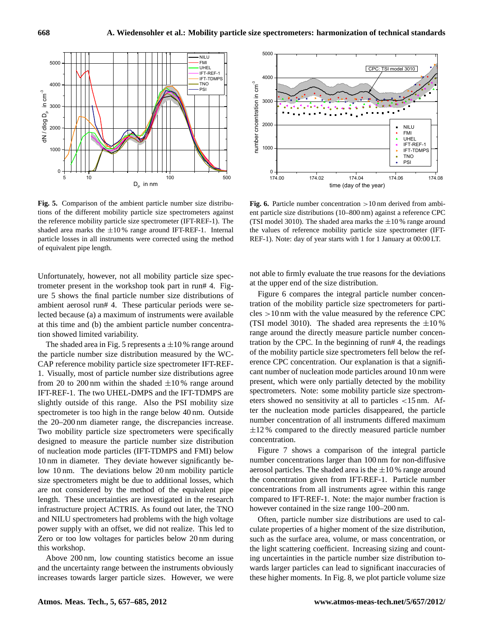

**Fig. 5.** Comparison of the ambient particle number size distributions of the different mobility particle size spectrometers against the reference mobility particle size spectrometer (IFT-REF-1). The shaded area marks the  $\pm 10\%$  range around IFT-REF-1. Internal particle losses in all instruments were corrected using the method of equivalent pipe length.

Unfortunately, however, not all mobility particle size spectrometer present in the workshop took part in run# 4. Figure 5 shows the final particle number size distributions of ambient aerosol run# 4. These particular periods were selected because (a) a maximum of instruments were available at this time and (b) the ambient particle number concentration showed limited variability.

The shaded area in Fig. 5 represents a  $\pm 10$  % range around the particle number size distribution measured by the WC-CAP reference mobility particle size spectrometer IFT-REF-1. Visually, most of particle number size distributions agree from 20 to 200 nm within the shaded  $\pm 10\%$  range around IFT-REF-1. The two UHEL-DMPS and the IFT-TDMPS are slightly outside of this range. Also the PSI mobility size spectrometer is too high in the range below 40 nm. Outside the 20–200 nm diameter range, the discrepancies increase. Two mobility particle size spectrometers were specifically designed to measure the particle number size distribution of nucleation mode particles (IFT-TDMPS and FMI) below 10 nm in diameter. They deviate however significantly below 10 nm. The deviations below 20 nm mobility particle size spectrometers might be due to additional losses, which are not considered by the method of the equivalent pipe length. These uncertainties are investigated in the research infrastructure project ACTRIS. As found out later, the TNO and NILU spectrometers had problems with the high voltage power supply with an offset, we did not realize. This led to Zero or too low voltages for particles below 20 nm during this workshop.

Above 200 nm, low counting statistics become an issue and the uncertainty range between the instruments obviously increases towards larger particle sizes. However, we were



**Fig. 6.** Particle number concentration >10 nm derived from ambient particle size distributions (10–800 nm) against a reference CPC (TSI model 3010). The shaded area marks the  $\pm 10\%$  range around the values of reference mobility particle size spectrometer (IFT-REF-1). Note: day of year starts with 1 for 1 January at 00:00 LT.

not able to firmly evaluate the true reasons for the deviations at the upper end of the size distribution.

Figure 6 compares the integral particle number concentration of the mobility particle size spectrometers for particles >10 nm with the value measured by the reference CPC (TSI model 3010). The shaded area represents the  $\pm 10\%$ range around the directly measure particle number concentration by the CPC. In the beginning of run# 4, the readings of the mobility particle size spectrometers fell below the reference CPC concentration. Our explanation is that a significant number of nucleation mode particles around 10 nm were present, which were only partially detected by the mobility spectrometers. Note: some mobility particle size spectrometers showed no sensitivity at all to particles <15 nm. After the nucleation mode particles disappeared, the particle number concentration of all instruments differed maximum  $\pm 12$ % compared to the directly measured particle number concentration.

Figure 7 shows a comparison of the integral particle number concentrations larger than 100 nm for non-diffusive aerosol particles. The shaded area is the  $\pm 10$  % range around the concentration given from IFT-REF-1. Particle number concentrations from all instruments agree within this range compared to IFT-REF-1. Note: the major number fraction is however contained in the size range 100–200 nm.

Often, particle number size distributions are used to calculate properties of a higher moment of the size distribution, such as the surface area, volume, or mass concentration, or the light scattering coefficient. Increasing sizing and counting uncertainties in the particle number size distribution towards larger particles can lead to significant inaccuracies of these higher moments. In Fig. 8, we plot particle volume size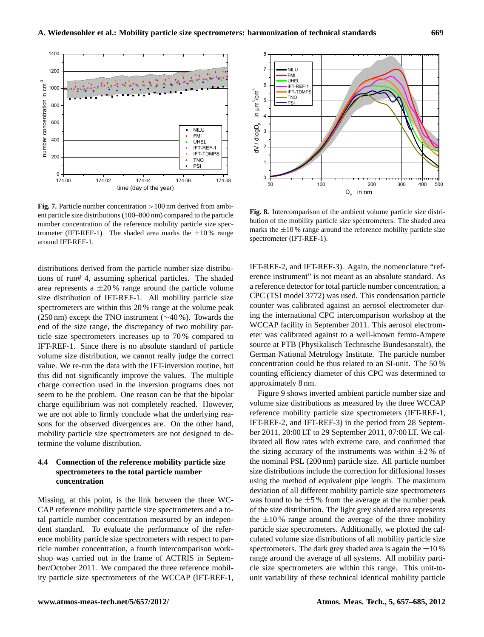

**Fig. 7.** Particle number concentration >100 nm derived from ambient particle size distributions (100–800 nm) compared to the particle number concentration of the reference mobility particle size spectrometer (IFT-REF-1). The shaded area marks the  $\pm 10\%$  range around IFT-REF-1.

distributions derived from the particle number size distributions of run# 4, assuming spherical particles. The shaded area represents a  $\pm 20\%$  range around the particle volume size distribution of IFT-REF-1. All mobility particle size spectrometers are within this 20 % range at the volume peak (250 nm) except the TNO instrument (∼40 %). Towards the end of the size range, the discrepancy of two mobility particle size spectrometers increases up to 70 % compared to IFT-REF-1. Since there is no absolute standard of particle volume size distribution, we cannot really judge the correct value. We re-run the data with the IFT-inversion routine, but this did not significantly improve the values. The multiple charge correction used in the inversion programs does not seem to be the problem. One reason can be that the bipolar charge equilibrium was not completely reached. However, we are not able to firmly conclude what the underlying reasons for the observed divergences are. On the other hand, mobility particle size spectrometers are not designed to determine the volume distribution.

## **4.4 Connection of the reference mobility particle size spectrometers to the total particle number concentration**

Missing, at this point, is the link between the three WC-CAP reference mobility particle size spectrometers and a total particle number concentration measured by an independent standard. To evaluate the performance of the reference mobility particle size spectrometers with respect to particle number concentration, a fourth intercomparison workshop was carried out in the frame of ACTRIS in September/October 2011. We compared the three reference mobility particle size spectrometers of the WCCAP (IFT-REF-1,



**Fig. 8.** Intercomparison of the ambient volume particle size distribution of the mobility particle size spectrometers. The shaded area marks the  $\pm 10$ % range around the reference mobility particle size spectrometer (IFT-REF-1).

IFT-REF-2, and IFT-REF-3). Again, the nomenclature "reference instrument" is not meant as an absolute standard. As a reference detector for total particle number concentration, a CPC (TSI model 3772) was used. This condensation particle counter was calibrated against an aerosol electrometer during the international CPC intercomparison workshop at the WCCAP facility in September 2011. This aerosol electrometer was calibrated against to a well-known femto-Ampere source at PTB (Physikalisch Technische Bundesanstalt), the German National Metrology Institute. The particle number concentration could be thus related to an SI-unit. The 50 % counting efficiency diameter of this CPC was determined to approximately 8 nm.

Figure 9 shows inverted ambient particle number size and volume size distributions as measured by the three WCCAP reference mobility particle size spectrometers (IFT-REF-1, IFT-REF-2, and IFT-REF-3) in the period from 28 September 2011, 20:00 LT to 29 September 2011, 07:00 LT. We calibrated all flow rates with extreme care, and confirmed that the sizing accuracy of the instruments was within  $\pm 2\%$  of the nominal PSL (200 nm) particle size. All particle number size distributions include the correction for diffusional losses using the method of equivalent pipe length. The maximum deviation of all different mobility particle size spectrometers was found to be  $\pm 5$ % from the average at the number peak of the size distribution. The light grey shaded area represents the  $\pm 10\%$  range around the average of the three mobility particle size spectrometers. Additionally, we plotted the calculated volume size distributions of all mobility particle size spectrometers. The dark grey shaded area is again the  $\pm 10\%$ range around the average of all systems. All mobility particle size spectrometers are within this range. This unit-tounit variability of these technical identical mobility particle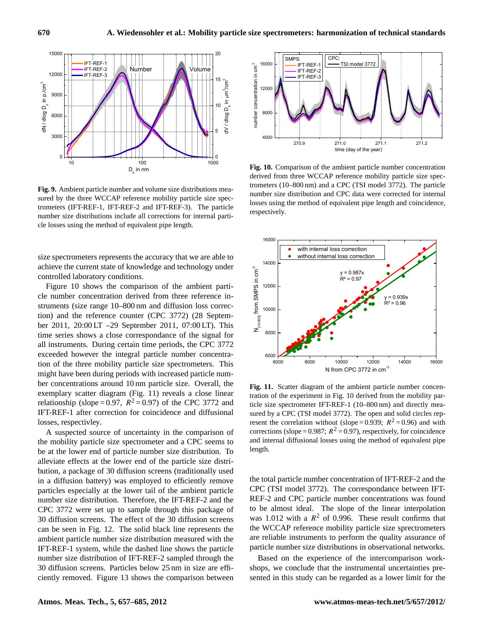

**Fig. 9.** Ambient particle number and volume size distributions measured by the three WCCAP reference mobility particle size spectrometers (IFT-REF-1, IFT-REF-2 and IFT-REF-3). The particle number size distributions include all corrections for internal particle losses using the method of equivalent pipe length.

size spectrometers represents the accuracy that we are able to achieve the current state of knowledge and technology under controlled laboratory conditions.

Figure 10 shows the comparison of the ambient particle number concentration derived from three reference instruments (size range 10–800 nm and diffusion loss correction) and the reference counter (CPC 3772) (28 September 2011, 20:00 LT –29 September 2011, 07:00 LT). This time series shows a close correspondance of the signal for all instruments. During certain time periods, the CPC 3772 exceeded however the integral particle number concentration of the three mobility particle size spectrometers. This might have been during periods with increased particle number concentrations around 10 nm particle size. Overall, the exemplary scatter diagram (Fig. 11) reveals a close linear relationship (slope = 0.97,  $R^2 = 0.97$ ) of the CPC 3772 and IFT-REF-1 after correction for coincidence and diffusional losses, respectivley.

A suspected source of uncertainty in the comparison of the mobility particle size spectrometer and a CPC seems to be at the lower end of particle number size distribution. To alleviate effects at the lower end of the particle size distribution, a package of 30 diffusion screens (traditionally used in a diffusion battery) was employed to efficiently remove particles especially at the lower tail of the ambient particle number size distribution. Therefore, the IFT-REF-2 and the CPC 3772 were set up to sample through this package of 30 diffusion screens. The effect of the 30 diffusion screens can be seen in Fig. 12. The solid black line represents the ambient particle number size distribution measured with the IFT-REF-1 system, while the dashed line shows the particle number size distribution of IFT-REF-2 sampled through the 30 diffusion screens. Particles below 25 nm in size are efficiently removed. Figure 13 shows the comparison between



**Fig. 10.** Comparison of the ambient particle number concentration derived from three WCCAP reference mobility particle size spectrometers (10–800 nm) and a CPC (TSI model 3772). The particle number size distribution and CPC data were corrected for internal losses using the method of equivalent pipe length and coincidence, respectively.



**Fig. 11.** Scatter diagram of the ambient particle number concentration of the experiment in Fig. 10 derived from the mobility particle size spectrometer IFT-REF-1 (10–800 nm) and directly measured by a CPC (TSI model 3772). The open and solid circles represent the correlation without (slope = 0.939;  $R^2$  = 0.96) and with corrections (slope = 0.987;  $R^2 = 0.97$ ), respectively, for coincidence and internal diffusional losses using the method of equivalent pipe length.

the total particle number concentration of IFT-REF-2 and the CPC (TSI model 3772). The correspondance between IFT-REF-2 and CPC particle number concentrations was found to be almost ideal. The slope of the linear interpolation was 1.012 with a  $R^2$  of 0.996. These result confirms that the WCCAP reference mobility particle size sprectrometers are reliable instruments to perform the quality assurance of particle number size distributions in observational networks.

Based on the experience of the intercomparison workshops, we conclude that the instrumental uncertainties presented in this study can be regarded as a lower limit for the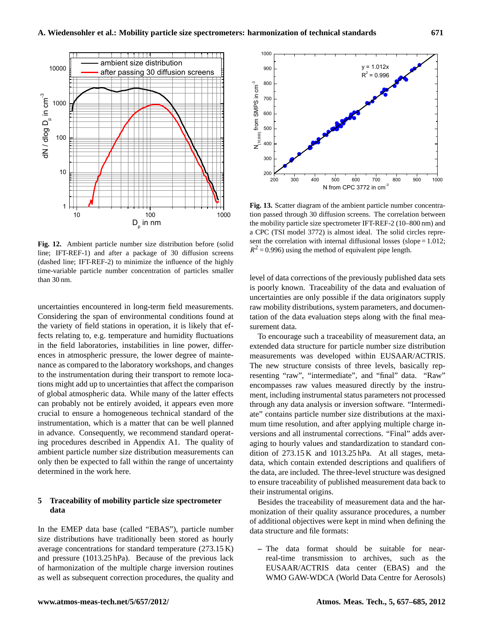

**Fig. 12.** Ambient particle number size distribution before (solid line; IFT-REF-1) and after a package of 30 diffusion screens (dashed line; IFT-REF-2) to minimize the influence of the highly time-variable particle number concentration of particles smaller than 30 nm.

uncertainties encountered in long-term field measurements. Considering the span of environmental conditions found at the variety of field stations in operation, it is likely that effects relating to, e.g. temperature and humidity fluctuations in the field laboratories, instabilities in line power, differences in atmospheric pressure, the lower degree of maintenance as compared to the laboratory workshops, and changes to the instrumentation during their transport to remote locations might add up to uncertainties that affect the comparison of global atmospheric data. While many of the latter effects can probably not be entirely avoided, it appears even more crucial to ensure a homogeneous technical standard of the instrumentation, which is a matter that can be well planned in advance. Consequently, we recommend standard operating procedures described in Appendix A1. The quality of ambient particle number size distribution measurements can only then be expected to fall within the range of uncertainty determined in the work here.

## **5 Traceability of mobility particle size spectrometer data**

In the EMEP data base (called "EBAS"), particle number size distributions have traditionally been stored as hourly average concentrations for standard temperature (273.15 K) and pressure (1013.25 hPa). Because of the previous lack of harmonization of the multiple charge inversion routines as well as subsequent correction procedures, the quality and



**Fig. 13.** Scatter diagram of the ambient particle number concentration passed through 30 diffusion screens. The correlation between the mobility particle size spectrometer IFT-REF-2 (10–800 nm) and a CPC (TSI model 3772) is almost ideal. The solid circles represent the correlation with internal diffusional losses (slope  $= 1.012$ ;  $R^2$  = 0.996) using the method of equivalent pipe length.

level of data corrections of the previously published data sets is poorly known. Traceability of the data and evaluation of uncertainties are only possible if the data originators supply raw mobility distributions, system parameters, and documentation of the data evaluation steps along with the final measurement data.

To encourage such a traceability of measurement data, an extended data structure for particle number size distribution measurements was developed within EUSAAR/ACTRIS. The new structure consists of three levels, basically representing "raw", "intermediate", and "final" data. "Raw" encompasses raw values measured directly by the instrument, including instrumental status parameters not processed through any data analysis or inversion software. "Intermediate" contains particle number size distributions at the maximum time resolution, and after applying multiple charge inversions and all instrumental corrections. "Final" adds averaging to hourly values and standardization to standard condition of 273.15 K and 1013.25 hPa. At all stages, metadata, which contain extended descriptions and qualifiers of the data, are included. The three-level structure was designed to ensure traceability of published measurement data back to their instrumental origins.

Besides the traceability of measurement data and the harmonization of their quality assurance procedures, a number of additional objectives were kept in mind when defining the data structure and file formats:

**–** The data format should be suitable for nearreal-time transmission to archives, such as the EUSAAR/ACTRIS data center (EBAS) and the WMO GAW-WDCA (World Data Centre for Aerosols)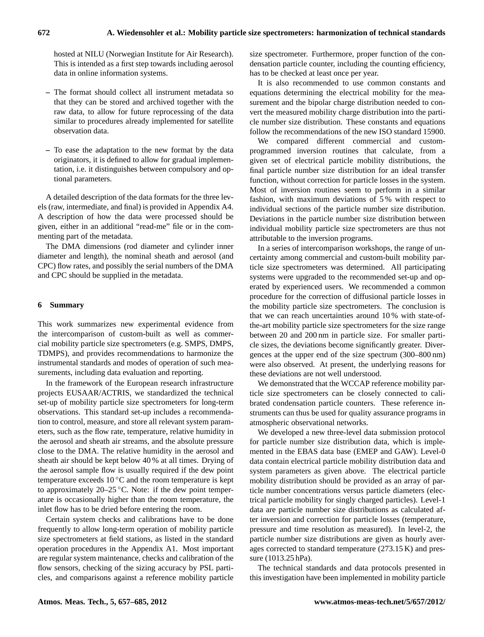hosted at NILU (Norwegian Institute for Air Research). This is intended as a first step towards including aerosol data in online information systems.

- **–** The format should collect all instrument metadata so that they can be stored and archived together with the raw data, to allow for future reprocessing of the data similar to procedures already implemented for satellite observation data.
- **–** To ease the adaptation to the new format by the data originators, it is defined to allow for gradual implementation, i.e. it distinguishes between compulsory and optional parameters.

A detailed description of the data formats for the three levels (raw, intermediate, and final) is provided in Appendix A4. A description of how the data were processed should be given, either in an additional "read-me" file or in the commenting part of the metadata.

The DMA dimensions (rod diameter and cylinder inner diameter and length), the nominal sheath and aerosol (and CPC) flow rates, and possibly the serial numbers of the DMA and CPC should be supplied in the metadata.

#### **6 Summary**

This work summarizes new experimental evidence from the intercomparison of custom-built as well as commercial mobility particle size spectrometers (e.g. SMPS, DMPS, TDMPS), and provides recommendations to harmonize the instrumental standards and modes of operation of such measurements, including data evaluation and reporting.

In the framework of the European research infrastructure projects EUSAAR/ACTRIS, we standardized the technical set-up of mobility particle size spectrometers for long-term observations. This standard set-up includes a recommendation to control, measure, and store all relevant system parameters, such as the flow rate, temperature, relative humidity in the aerosol and sheath air streams, and the absolute pressure close to the DMA. The relative humidity in the aerosol and sheath air should be kept below 40 % at all times. Drying of the aerosol sample flow is usually required if the dew point temperature exceeds  $10\degree C$  and the room temperature is kept to approximately  $20-25$  °C. Note: if the dew point temperature is occasionally higher than the room temperature, the inlet flow has to be dried before entering the room.

Certain system checks and calibrations have to be done frequently to allow long-term operation of mobility particle size spectrometers at field stations, as listed in the standard operation procedures in the Appendix A1. Most important are regular system maintenance, checks and calibration of the flow sensors, checking of the sizing accuracy by PSL particles, and comparisons against a reference mobility particle size spectrometer. Furthermore, proper function of the condensation particle counter, including the counting efficiency, has to be checked at least once per year.

It is also recommended to use common constants and equations determining the electrical mobility for the measurement and the bipolar charge distribution needed to convert the measured mobility charge distribution into the particle number size distribution. These constants and equations follow the recommendations of the new ISO standard 15900.

We compared different commercial and customprogrammed inversion routines that calculate, from a given set of electrical particle mobility distributions, the final particle number size distribution for an ideal transfer function, without correction for particle losses in the system. Most of inversion routines seem to perform in a similar fashion, with maximum deviations of 5 % with respect to individual sections of the particle number size distribution. Deviations in the particle number size distribution between individual mobility particle size spectrometers are thus not attributable to the inversion programs.

In a series of intercomparison workshops, the range of uncertainty among commercial and custom-built mobility particle size spectrometers was determined. All participating systems were upgraded to the recommended set-up and operated by experienced users. We recommended a common procedure for the correction of diffusional particle losses in the mobility particle size spectrometers. The conclusion is that we can reach uncertainties around 10 % with state-ofthe-art mobility particle size spectrometers for the size range between 20 and 200 nm in particle size. For smaller particle sizes, the deviations become significantly greater. Divergences at the upper end of the size spectrum (300–800 nm) were also observed. At present, the underlying reasons for these deviations are not well understood.

We demonstrated that the WCCAP reference mobility particle size spectrometers can be closely connected to calibrated condensation particle counters. These reference instruments can thus be used for quality assurance programs in atmospheric observational networks.

We developed a new three-level data submission protocol for particle number size distribution data, which is implemented in the EBAS data base (EMEP and GAW). Level-0 data contain electrical particle mobility distribution data and system parameters as given above. The electrical particle mobility distribution should be provided as an array of particle number concentrations versus particle diameters (electrical particle mobility for singly charged particles). Level-1 data are particle number size distributions as calculated after inversion and correction for particle losses (temperature, pressure and time resolution as measured). In level-2, the particle number size distributions are given as hourly averages corrected to standard temperature (273.15 K) and pressure (1013.25 hPa).

The technical standards and data protocols presented in this investigation have been implemented in mobility particle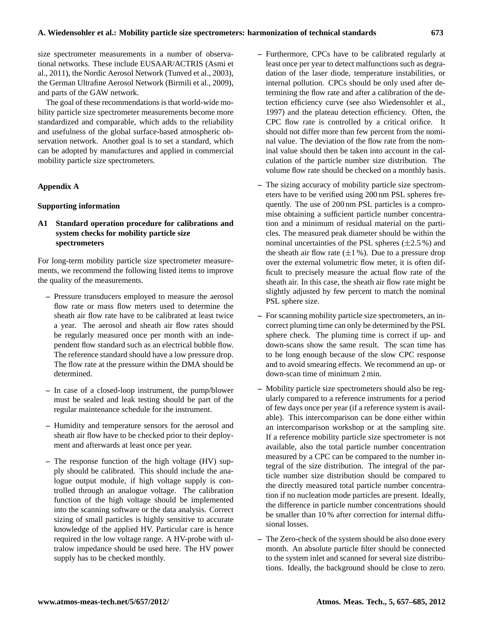size spectrometer measurements in a number of observational networks. These include EUSAAR/ACTRIS (Asmi et al., 2011), the Nordic Aerosol Network (Tunved et al., 2003), the German Ultrafine Aerosol Network (Birmili et al., 2009), and parts of the GAW network.

The goal of these recommendations is that world-wide mobility particle size spectrometer measurements become more standardized and comparable, which adds to the reliability and usefulness of the global surface-based atmospheric observation network. Another goal is to set a standard, which can be adopted by manufactures and applied in commercial mobility particle size spectrometers.

#### **Appendix A**

#### **Supporting information**

## **A1 Standard operation procedure for calibrations and system checks for mobility particle size spectrometers**

For long-term mobility particle size spectrometer measurements, we recommend the following listed items to improve the quality of the measurements.

- **–** Pressure transducers employed to measure the aerosol flow rate or mass flow meters used to determine the sheath air flow rate have to be calibrated at least twice a year. The aerosol and sheath air flow rates should be regularly measured once per month with an independent flow standard such as an electrical bubble flow. The reference standard should have a low pressure drop. The flow rate at the pressure within the DMA should be determined.
- **–** In case of a closed-loop instrument, the pump/blower must be sealed and leak testing should be part of the regular maintenance schedule for the instrument.
- **–** Humidity and temperature sensors for the aerosol and sheath air flow have to be checked prior to their deployment and afterwards at least once per year.
- **–** The response function of the high voltage (HV) supply should be calibrated. This should include the analogue output module, if high voltage supply is controlled through an analogue voltage. The calibration function of the high voltage should be implemented into the scanning software or the data analysis. Correct sizing of small particles is highly sensitive to accurate knowledge of the applied HV. Particular care is hence required in the low voltage range. A HV-probe with ultralow impedance should be used here. The HV power supply has to be checked monthly.
- **–** Furthermore, CPCs have to be calibrated regularly at least once per year to detect malfunctions such as degradation of the laser diode, temperature instabilities, or internal pollution. CPCs should be only used after determining the flow rate and after a calibration of the detection efficiency curve (see also Wiedensohler et al., 1997) and the plateau detection efficiency. Often, the CPC flow rate is controlled by a critical orifice. It should not differ more than few percent from the nominal value. The deviation of the flow rate from the nominal value should then be taken into account in the calculation of the particle number size distribution. The volume flow rate should be checked on a monthly basis.
- **–** The sizing accuracy of mobility particle size spectrometers have to be verified using 200 nm PSL spheres frequently. The use of 200 nm PSL particles is a compromise obtaining a sufficient particle number concentration and a minimum of residual material on the particles. The measured peak diameter should be within the nominal uncertainties of the PSL spheres  $(\pm 2.5\%)$  and the sheath air flow rate  $(\pm 1\%)$ . Due to a pressure drop over the external volumetric flow meter, it is often difficult to precisely measure the actual flow rate of the sheath air. In this case, the sheath air flow rate might be slightly adjusted by few percent to match the nominal PSL sphere size.
- **–** For scanning mobility particle size spectrometers, an incorrect pluming time can only be determined by the PSL sphere check. The pluming time is correct if up- and down-scans show the same result. The scan time has to be long enough because of the slow CPC response and to avoid smearing effects. We recommend an up- or down-scan time of minimum 2 min.
- **–** Mobility particle size spectrometers should also be regularly compared to a reference instruments for a period of few days once per year (if a reference system is available). This intercomparison can be done either within an intercomparison workshop or at the sampling site. If a reference mobility particle size spectrometer is not available, also the total particle number concentration measured by a CPC can be compared to the number integral of the size distribution. The integral of the particle number size distribution should be compared to the directly measured total particle number concentration if no nucleation mode particles are present. Ideally, the difference in particle number concentrations should be smaller than 10 % after correction for internal diffusional losses.
- **–** The Zero-check of the system should be also done every month. An absolute particle filter should be connected to the system inlet and scanned for several size distributions. Ideally, the background should be close to zero.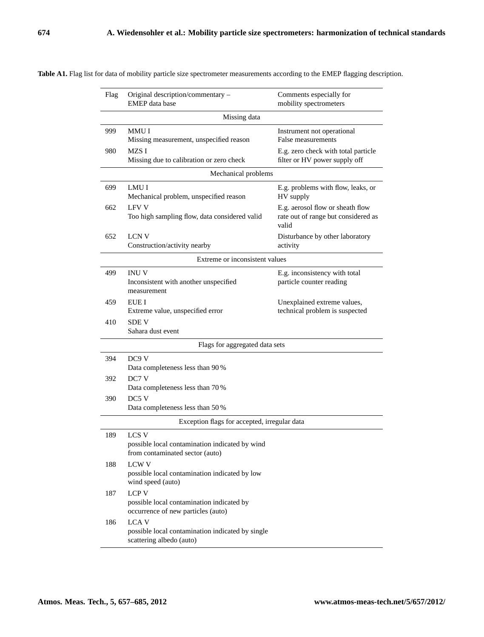|     | <b>EMEP</b> data base                                                                       | Comments especially for<br>mobility spectrometers                    |
|-----|---------------------------------------------------------------------------------------------|----------------------------------------------------------------------|
|     | Missing data                                                                                |                                                                      |
|     |                                                                                             |                                                                      |
| 999 | MMU I<br>Missing measurement, unspecified reason                                            | Instrument not operational<br>False measurements                     |
| 980 | MZS I<br>Missing due to calibration or zero check                                           | E.g. zero check with total particle<br>filter or HV power supply off |
|     | Mechanical problems                                                                         |                                                                      |
| 699 | LMU I                                                                                       | E.g. problems with flow, leaks, or                                   |
|     | Mechanical problem, unspecified reason                                                      | HV supply                                                            |
| 662 | <b>LFV V</b>                                                                                | E.g. aerosol flow or sheath flow                                     |
|     | Too high sampling flow, data considered valid                                               | rate out of range but considered as<br>valid                         |
| 652 | <b>LCNV</b>                                                                                 | Disturbance by other laboratory                                      |
|     | Construction/activity nearby                                                                | activity                                                             |
|     | Extreme or inconsistent values                                                              |                                                                      |
| 499 | <b>INU V</b>                                                                                | E.g. inconsistency with total                                        |
|     | Inconsistent with another unspecified<br>measurement                                        | particle counter reading                                             |
| 459 | <b>EUE I</b>                                                                                | Unexplained extreme values,                                          |
|     | Extreme value, unspecified error                                                            | technical problem is suspected                                       |
| 410 | <b>SDEV</b><br>Sahara dust event                                                            |                                                                      |
|     | Flags for aggregated data sets                                                              |                                                                      |
| 394 | DC9 V                                                                                       |                                                                      |
|     | Data completeness less than 90 %                                                            |                                                                      |
| 392 | DC7 V                                                                                       |                                                                      |
|     | Data completeness less than 70 %                                                            |                                                                      |
| 390 | DC5 V                                                                                       |                                                                      |
|     | Data completeness less than 50 %                                                            |                                                                      |
|     | Exception flags for accepted, irregular data                                                |                                                                      |
| 189 | LCS <sub>V</sub>                                                                            |                                                                      |
|     | possible local contamination indicated by wind                                              |                                                                      |
|     | from contaminated sector (auto)                                                             |                                                                      |
| 188 | <b>LCW V</b>                                                                                |                                                                      |
|     | possible local contamination indicated by low<br>wind speed (auto)                          |                                                                      |
| 187 | <b>LCPV</b>                                                                                 |                                                                      |
|     | possible local contamination indicated by                                                   |                                                                      |
|     | occurrence of new particles (auto)                                                          |                                                                      |
| 186 | <b>LCAV</b><br>possible local contamination indicated by single<br>scattering albedo (auto) |                                                                      |

**Table A1.** Flag list for data of mobility particle size spectrometer measurements according to the EMEP flagging description.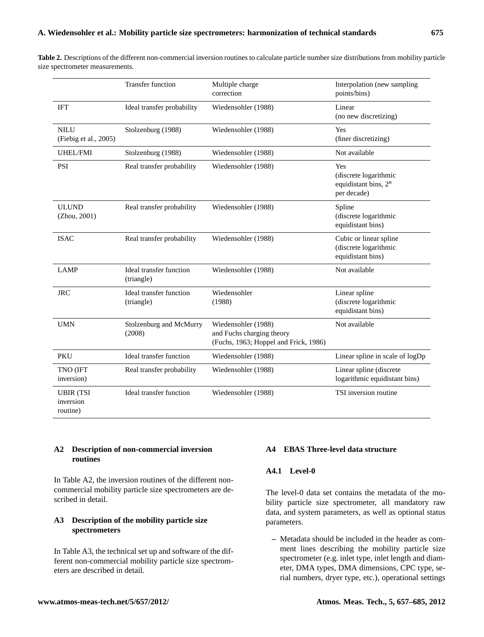|                                           | Transfer function                     | Multiple charge<br>correction                                                             | Interpolation (new sampling<br>points/bins)                            |
|-------------------------------------------|---------------------------------------|-------------------------------------------------------------------------------------------|------------------------------------------------------------------------|
| <b>IFT</b>                                | Ideal transfer probability            | Wiedensohler (1988)                                                                       | Linear<br>(no new discretizing)                                        |
| <b>NILU</b><br>(Fiebig et al., 2005)      | Stolzenburg (1988)                    | Wiedensohler (1988)                                                                       | Yes<br>(finer discretizing)                                            |
| <b>UHEL/FMI</b>                           | Stolzenburg (1988)                    | Wiedensohler (1988)                                                                       | Not available                                                          |
| PSI                                       | Real transfer probability             | Wiedensohler (1988)                                                                       | Yes<br>(discrete logarithmic<br>equidistant bins, $2^n$<br>per decade) |
| <b>ULUND</b><br>(Zhou, 2001)              | Real transfer probability             | Wiedensohler (1988)                                                                       | Spline<br>(discrete logarithmic<br>equidistant bins)                   |
| <b>ISAC</b>                               | Real transfer probability             | Wiedensohler (1988)                                                                       | Cubic or linear spline<br>(discrete logarithmic<br>equidistant bins)   |
| <b>LAMP</b>                               | Ideal transfer function<br>(triangle) | Wiedensohler (1988)                                                                       | Not available                                                          |
| <b>JRC</b>                                | Ideal transfer function<br>(triangle) | Wiedensohler<br>(1988)                                                                    | Linear spline<br>(discrete logarithmic<br>equidistant bins)            |
| <b>UMN</b>                                | Stolzenburg and McMurry<br>(2008)     | Wiedensohler (1988)<br>and Fuchs charging theory<br>(Fuchs, 1963; Hoppel and Frick, 1986) | Not available                                                          |
| <b>PKU</b>                                | Ideal transfer function               | Wiedensohler (1988)                                                                       | Linear spline in scale of logDp                                        |
| TNO (IFT<br>inversion)                    | Real transfer probability             | Wiedensohler (1988)                                                                       | Linear spline (discrete<br>logarithmic equidistant bins)               |
| <b>UBIR (TSI</b><br>inversion<br>routine) | Ideal transfer function               | Wiedensohler (1988)                                                                       | TSI inversion routine                                                  |

**Table 2.** Descriptions of the different non-commercial inversion routines to calculate particle number size distributions from mobility particle size spectrometer measurements.

## **A2 Description of non-commercial inversion routines**

In Table A2, the inversion routines of the different noncommercial mobility particle size spectrometers are described in detail.

## **A3 Description of the mobility particle size spectrometers**

In Table A3, the technical set up and software of the different non-commercial mobility particle size spectrometers are described in detail.

## **A4 EBAS Three-level data structure**

## **A4.1 Level-0**

The level-0 data set contains the metadata of the mobility particle size spectrometer, all mandatory raw data, and system parameters, as well as optional status parameters.

**–** Metadata should be included in the header as comment lines describing the mobility particle size spectrometer (e.g. inlet type, inlet length and diameter, DMA types, DMA dimensions, CPC type, serial numbers, dryer type, etc.), operational settings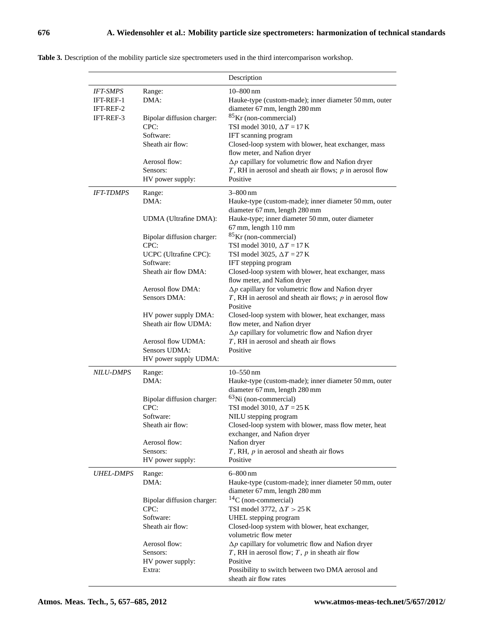|                              |                                    | Description                                                                            |
|------------------------------|------------------------------------|----------------------------------------------------------------------------------------|
| <b>IFT-SMPS</b><br>IFT-REF-1 | Range:<br>DMA:                     | $10 - 800$ nm<br>Hauke-type (custom-made); inner diameter 50 mm, outer                 |
| IFT-REF-2                    |                                    | diameter 67 mm, length 280 mm                                                          |
| IFT-REF-3                    | Bipolar diffusion charger:         | ${}^{85}$ Kr (non-commercial)                                                          |
|                              | CPC:                               | TSI model 3010, $\Delta T = 17$ K                                                      |
|                              | Software:                          | IFT scanning program                                                                   |
|                              | Sheath air flow:                   | Closed-loop system with blower, heat exchanger, mass                                   |
|                              |                                    | flow meter, and Nafion dryer                                                           |
|                              | Aerosol flow:                      | $\Delta p$ capillary for volumetric flow and Nafion dryer                              |
|                              | Sensors:                           | $T$ , RH in aerosol and sheath air flows; $p$ in aerosol flow                          |
|                              | HV power supply:                   | Positive                                                                               |
| <b>IFT-TDMPS</b>             | Range:                             | $3 - 800$ nm                                                                           |
|                              | DMA:                               | Hauke-type (custom-made); inner diameter 50 mm, outer                                  |
|                              |                                    | diameter 67 mm, length 280 mm                                                          |
|                              | UDMA (Ultrafine DMA):              | Hauke-type; inner diameter 50 mm, outer diameter                                       |
|                              |                                    | 67 mm, length 110 mm<br>${}^{85}$ Kr (non-commercial)                                  |
|                              | Bipolar diffusion charger:<br>CPC: | TSI model 3010, $\Delta T = 17$ K                                                      |
|                              | UCPC (Ultrafine CPC):              | TSI model 3025, $\Delta T = 27$ K                                                      |
|                              | Software:                          | IFT stepping program                                                                   |
|                              | Sheath air flow DMA:               | Closed-loop system with blower, heat exchanger, mass                                   |
|                              |                                    | flow meter, and Nafion dryer                                                           |
|                              | Aerosol flow DMA:                  | $\Delta p$ capillary for volumetric flow and Nafion dryer                              |
|                              | Sensors DMA:                       | $T$ , RH in aerosol and sheath air flows; $p$ in aerosol flow                          |
|                              |                                    | Positive                                                                               |
|                              | HV power supply DMA:               | Closed-loop system with blower, heat exchanger, mass                                   |
|                              | Sheath air flow UDMA:              | flow meter, and Nafion dryer                                                           |
|                              |                                    | $\Delta p$ capillary for volumetric flow and Nafion dryer                              |
|                              | Aerosol flow UDMA:                 | $T$ , RH in aerosol and sheath air flows                                               |
|                              | Sensors UDMA:                      | Positive                                                                               |
|                              | HV power supply UDMA:              |                                                                                        |
| <b>NILU-DMPS</b>             | Range:                             | $10 - 550$ nm                                                                          |
|                              | DMA:                               | Hauke-type (custom-made); inner diameter 50 mm, outer<br>diameter 67 mm, length 280 mm |
|                              | Bipolar diffusion charger:         | ${}^{63}$ Ni (non-commercial)                                                          |
|                              | CPC:                               | TSI model 3010, $\Delta T = 25$ K                                                      |
|                              | Software:                          | NILU stepping program                                                                  |
|                              | Sheath air flow:                   | Closed-loop system with blower, mass flow meter, heat<br>exchanger, and Nafion dryer   |
|                              | Aerosol flow:                      | Nafion dryer                                                                           |
|                              | Sensors:                           | $T$ , RH, $p$ in aerosol and sheath air flows                                          |
|                              | HV power supply:                   | Positive                                                                               |
| <b>UHEL-DMPS</b>             | Range:                             | 6-800 nm                                                                               |
|                              | DMA:                               | Hauke-type (custom-made); inner diameter 50 mm, outer                                  |
|                              |                                    | diameter 67 mm, length 280 mm                                                          |
|                              | Bipolar diffusion charger:         | ${}^{14}C$ (non-commercial)                                                            |
|                              | CPC:                               | TSI model 3772, $\Delta T > 25$ K                                                      |
|                              | Software:                          | UHEL stepping program                                                                  |
|                              | Sheath air flow:                   | Closed-loop system with blower, heat exchanger,                                        |
|                              |                                    | volumetric flow meter                                                                  |
|                              | Aerosol flow:                      | $\Delta p$ capillary for volumetric flow and Nafion dryer                              |
|                              | Sensors:                           | $T$ , RH in aerosol flow; $T$ , $p$ in sheath air flow                                 |
|                              | HV power supply:                   | Positive                                                                               |
|                              | Extra:                             | Possibility to switch between two DMA aerosol and                                      |
|                              |                                    | sheath air flow rates                                                                  |

**Table 3.** Description of the mobility particle size spectrometers used in the third intercomparison workshop.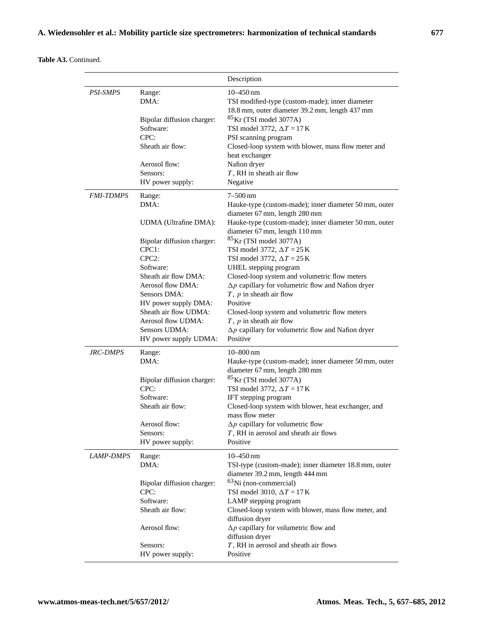## **Table A3.** Continued.

|                  |                                              | Description                                                                                                                                          |
|------------------|----------------------------------------------|------------------------------------------------------------------------------------------------------------------------------------------------------|
| <i>PSI-SMPS</i>  | Range:<br>DMA:<br>Bipolar diffusion charger: | $10 - 450$ nm<br>TSI modified-type (custom-made); inner diameter<br>18.8 mm, outer diameter 39.2 mm, length 437 mm<br>${}^{85}$ Kr (TSI model 3077A) |
|                  | Software:<br>CPC:                            | TSI model 3772, $\Delta T = 17$ K                                                                                                                    |
|                  | Sheath air flow:                             | PSI scanning program                                                                                                                                 |
|                  |                                              | Closed-loop system with blower, mass flow meter and<br>heat exchanger                                                                                |
|                  | Aerosol flow:                                | Nafion dryer                                                                                                                                         |
|                  | Sensors:                                     | $T$ , RH in sheath air flow                                                                                                                          |
|                  | HV power supply:                             | Negative                                                                                                                                             |
| <b>FMI-TDMPS</b> | Range:                                       | 7–500 nm                                                                                                                                             |
|                  | DMA:                                         | Hauke-type (custom-made); inner diameter 50 mm, outer                                                                                                |
|                  |                                              | diameter 67 mm, length 280 mm                                                                                                                        |
|                  | UDMA (Ultrafine DMA):                        | Hauke-type (custom-made); inner diameter 50 mm, outer                                                                                                |
|                  |                                              | diameter 67 mm, length 110 mm                                                                                                                        |
|                  | Bipolar diffusion charger:                   | ${}^{85}$ Kr (TSI model 3077A)                                                                                                                       |
|                  | CPC1:                                        | TSI model 3772, $\Delta T = 25$ K                                                                                                                    |
|                  | $CPC2$ :                                     | TSI model 3772, $\Delta T = 25$ K                                                                                                                    |
|                  | Software:<br>Sheath air flow DMA:            | UHEL stepping program                                                                                                                                |
|                  | Aerosol flow DMA:                            | Closed-loop system and volumetric flow meters<br>$\Delta p$ capillary for volumetric flow and Nafion dryer                                           |
|                  | Sensors DMA:                                 | $T$ , $p$ in sheath air flow                                                                                                                         |
|                  | HV power supply DMA:                         | Positive                                                                                                                                             |
|                  | Sheath air flow UDMA:                        | Closed-loop system and volumetric flow meters                                                                                                        |
|                  | Aerosol flow UDMA:                           | $T$ , $p$ in sheath air flow                                                                                                                         |
|                  | Sensors UDMA:                                | $\Delta p$ capillary for volumetric flow and Nafion dryer                                                                                            |
|                  | HV power supply UDMA:                        | Positive                                                                                                                                             |
| <b>JRC-DMPS</b>  | Range:                                       | $10 - 800$ nm                                                                                                                                        |
|                  | DMA:                                         | Hauke-type (custom-made); inner diameter 50 mm, outer<br>diameter 67 mm, length 280 mm                                                               |
|                  | Bipolar diffusion charger:                   | ${}^{85}$ Kr (TSI model 3077A)                                                                                                                       |
|                  | CPC:                                         | TSI model 3772, $\Delta T = 17$ K                                                                                                                    |
|                  | Software:                                    | IFT stepping program                                                                                                                                 |
|                  | Sheath air flow:                             | Closed-loop system with blower, heat exchanger, and                                                                                                  |
|                  |                                              | mass flow meter                                                                                                                                      |
|                  | Aerosol flow:                                | $\Delta p$ capillary for volumetric flow                                                                                                             |
|                  | Sensors:<br>HV power supply:                 | $T$ , RH in aerosol and sheath air flows<br>Positive                                                                                                 |
|                  |                                              |                                                                                                                                                      |
| <i>LAMP-DMPS</i> | Range:<br>DMA:                               | $10 - 450$ nm                                                                                                                                        |
|                  |                                              | TSI-type (custom-made); inner diameter 18.8 mm, outer<br>diameter 39.2 mm, length 444 mm                                                             |
|                  | Bipolar diffusion charger:                   | ${}^{63}$ Ni (non-commercial)                                                                                                                        |
|                  | CPC:                                         | TSI model 3010, $\Delta T = 17$ K                                                                                                                    |
|                  | Software:                                    | LAMP stepping program                                                                                                                                |
|                  | Sheath air flow:                             | Closed-loop system with blower, mass flow meter, and                                                                                                 |
|                  |                                              | diffusion dryer                                                                                                                                      |
|                  | Aerosol flow:                                | $\Delta p$ capillary for volumetric flow and                                                                                                         |
|                  |                                              | diffusion dryer                                                                                                                                      |
|                  | Sensors:                                     | $T$ , RH in aerosol and sheath air flows                                                                                                             |
|                  | HV power supply:                             | Positive                                                                                                                                             |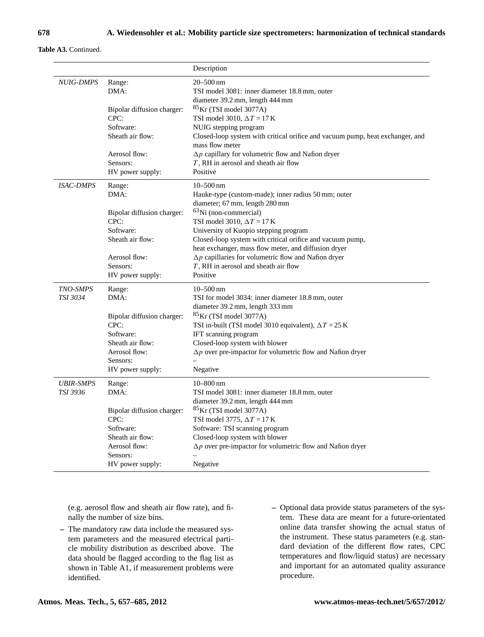**Table A3.** Continued.

|                  |                               | Description                                                                                      |
|------------------|-------------------------------|--------------------------------------------------------------------------------------------------|
| <b>NUIG-DMPS</b> | Range:                        | $20 - 500$ nm                                                                                    |
|                  | DMA:                          | TSI model 3081: inner diameter 18.8 mm, outer                                                    |
|                  |                               | diameter 39.2 mm, length 444 mm                                                                  |
|                  | Bipolar diffusion charger:    | ${}^{85}$ Kr (TSI model 3077A)                                                                   |
|                  | CPC:                          | TSI model 3010, $\Delta T = 17$ K                                                                |
|                  | Software:<br>Sheath air flow: | NUIG stepping program                                                                            |
|                  |                               | Closed-loop system with critical orifice and vacuum pump, heat exchanger, and<br>mass flow meter |
|                  | Aerosol flow:                 | $\Delta p$ capillary for volumetric flow and Nafion dryer                                        |
|                  | Sensors:                      | $T$ , RH in aerosol and sheath air flow                                                          |
|                  | HV power supply:              | Positive                                                                                         |
| <b>ISAC-DMPS</b> | Range:                        | $10 - 500$ nm                                                                                    |
|                  | DMA:                          | Hauke-type (custom-made); inner radius 50 mm; outer                                              |
|                  |                               | diameter; 67 mm, length 280 mm                                                                   |
|                  | Bipolar diffusion charger:    | ${}^{63}$ Ni (non-commercial)                                                                    |
|                  | CPC:                          | TSI model 3010, $\Delta T = 17$ K                                                                |
|                  | Software:                     | University of Kuopio stepping program                                                            |
|                  | Sheath air flow:              | Closed-loop system with critical orifice and vacuum pump,                                        |
|                  |                               | heat exchanger, mass flow meter, and diffusion dryer                                             |
|                  | Aerosol flow:                 | $\Delta p$ capillaries for volumetric flow and Nafion dryer                                      |
|                  | Sensors:                      | $T$ , RH in aerosol and sheath air flow                                                          |
|                  | HV power supply:              | Positive                                                                                         |
| <b>TNO-SMPS</b>  | Range:                        | $10 - 500$ nm                                                                                    |
| TSI 3034         | DMA:                          | TSI for model 3034: inner diameter 18.8 mm, outer                                                |
|                  |                               | diameter 39.2 mm, length 333 mm                                                                  |
|                  | Bipolar diffusion charger:    | ${}^{85}$ Kr (TSI model 3077A)                                                                   |
|                  | CPC:                          | TSI in-built (TSI model 3010 equivalent), $\Delta T = 25$ K                                      |
|                  | Software:                     | IFT scanning program                                                                             |
|                  | Sheath air flow:              | Closed-loop system with blower                                                                   |
|                  | Aerosol flow:                 | $\Delta p$ over pre-impactor for volumetric flow and Nafion dryer                                |
|                  | Sensors:                      |                                                                                                  |
|                  | HV power supply:              | Negative                                                                                         |
| <b>UBIR-SMPS</b> | Range:                        | $10 - 800$ nm                                                                                    |
| TSI 3936         | DMA:                          | TSI model 3081: inner diameter 18.8 mm, outer                                                    |
|                  |                               | diameter 39.2 mm, length 444 mm                                                                  |
|                  | Bipolar diffusion charger:    | ${}^{85}$ Kr (TSI model 3077A)                                                                   |
|                  | CPC:                          | TSI model 3775, $\Delta T = 17$ K                                                                |
|                  | Software:                     | Software: TSI scanning program                                                                   |
|                  | Sheath air flow:              | Closed-loop system with blower                                                                   |
|                  | Aerosol flow:                 | $\Delta p$ over pre-impactor for volumetric flow and Nafion dryer                                |
|                  | Sensors:                      |                                                                                                  |
|                  | HV power supply:              | Negative                                                                                         |

(e.g. aerosol flow and sheath air flow rate), and finally the number of size bins.

- **–** The mandatory raw data include the measured system parameters and the measured electrical particle mobility distribution as described above. The data should be flagged according to the flag list as shown in Table A1, if measurement problems were identified.
- **–** Optional data provide status parameters of the system. These data are meant for a future-orientated online data transfer showing the actual status of the instrument. These status parameters (e.g. standard deviation of the different flow rates, CPC temperatures and flow/liquid status) are necessary and important for an automated quality assurance procedure.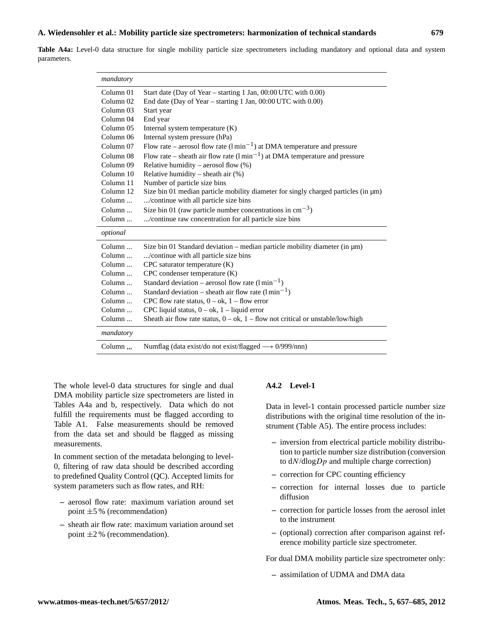| mandatory            |                                                                                         |
|----------------------|-----------------------------------------------------------------------------------------|
| Column 01            | Start date (Day of Year – starting 1 Jan, $00:00$ UTC with $0.00$ )                     |
| Column <sub>02</sub> | End date (Day of Year – starting 1 Jan, $00:00$ UTC with $0.00$ )                       |
| Column <sub>03</sub> | Start year                                                                              |
| Column <sub>04</sub> | End year                                                                                |
| Column <sub>05</sub> | Internal system temperature $(K)$                                                       |
| Column <sub>06</sub> | Internal system pressure (hPa)                                                          |
| Column <sub>07</sub> | Flow rate – aerosol flow rate $(l \text{ min}^{-1})$ at DMA temperature and pressure    |
| Column <sub>08</sub> | Flow rate – sheath air flow rate $(l \text{ min}^{-1})$ at DMA temperature and pressure |
| Column 09            | Relative humidity – aerosol flow $(\%)$                                                 |
| Column 10            | Relative humidity – sheath air $(\%)$                                                   |
| Column 11            | Number of particle size bins                                                            |
| Column 12            | Size bin 01 median particle mobility diameter for singly charged particles (in $\mu$ m) |
| Column               | /continue with all particle size bins                                                   |
| Column               | Size bin 01 (raw particle number concentrations in $cm^{-3}$ )                          |
| Column               | /continue raw concentration for all particle size bins                                  |
| optional             |                                                                                         |
| Column               | Size bin 01 Standard deviation – median particle mobility diameter (in $\mu$ m)         |
| Column               | /continue with all particle size bins                                                   |
| Column               | CPC saturator temperature (K)                                                           |
| Column               | CPC condenser temperature (K)                                                           |
| Column               | Standard deviation – aerosol flow rate $(l \text{min}^{-1})$                            |
| Column               | Standard deviation – sheath air flow rate $(l \text{ min}^{-1})$                        |
| Column               | CPC flow rate status, $0 - ok$ , $1 - flow$ error                                       |
| Column               | CPC liquid status, $0 - ok$ , $1 - liquid$ error                                        |
| Column               | Sheath air flow rate status, $0 - ok$ , $1 - flow$ not critical or unstable/low/high    |
| mandatory            |                                                                                         |
| Column,              | Numflag (data exist/do not exist/flagged $\longrightarrow$ 0/999/nnn)                   |

The whole level-0 data structures for single and dual DMA mobility particle size spectrometers are listed in Tables A4a and b, respectively. Data which do not fulfill the requirements must be flagged according to Table A1. False measurements should be removed from the data set and should be flagged as missing measurements.

In comment section of the metadata belonging to level-0, filtering of raw data should be described according to predefined Quality Control (QC). Accepted limits for system parameters such as flow rates, and RH:

- **–** aerosol flow rate: maximum variation around set point  $\pm 5$ % (recommendation)
- **–** sheath air flow rate: maximum variation around set point ±2 % (recommendation).

## **A4.2 Level-1**

Data in level-1 contain processed particle number size distributions with the original time resolution of the instrument (Table A5). The entire process includes:

- **–** inversion from electrical particle mobility distribution to particle number size distribution (conversion to  $dN/dlogDp$  and multiple charge correction)
- **–** correction for CPC counting efficiency
- **–** correction for internal losses due to particle diffusion
- **–** correction for particle losses from the aerosol inlet to the instrument
- **–** (optional) correction after comparison against reference mobility particle size spectrometer.

For dual DMA mobility particle size spectrometer only:

**–** assimilation of UDMA and DMA data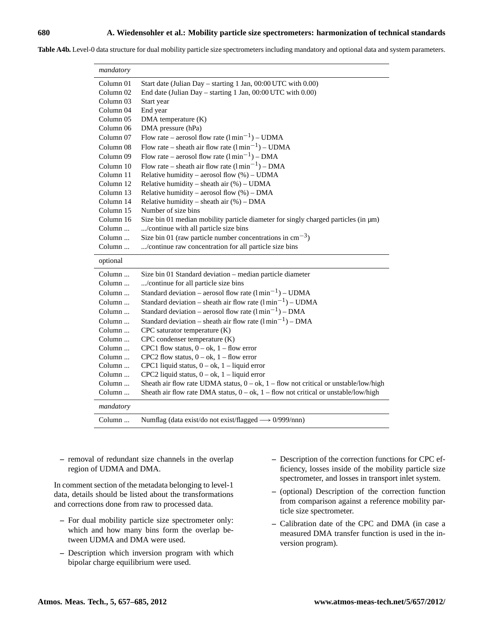Table A4b. Level-0 data structure for dual mobility particle size spectrometers including mandatory and optional data and system parameters.

| mandatory            |                                                                                           |
|----------------------|-------------------------------------------------------------------------------------------|
| Column 01            | Start date (Julian Day - starting 1 Jan, 00:00 UTC with 0.00)                             |
| Column 02            | End date (Julian Day - starting 1 Jan, 00:00 UTC with 0.00)                               |
| Column <sub>03</sub> | Start year                                                                                |
| Column <sub>04</sub> | End year                                                                                  |
| Column 05            | DMA temperature (K)                                                                       |
| Column <sub>06</sub> | DMA pressure (hPa)                                                                        |
| Column <sub>07</sub> | Flow rate – aerosol flow rate $(l \text{min}^{-1})$ – UDMA                                |
| Column <sub>08</sub> | Flow rate – sheath air flow rate $(l \text{ min}^{-1})$ – UDMA                            |
| Column <sub>09</sub> | Flow rate – aerosol flow rate $(l \text{ min}^{-1})$ – DMA                                |
| Column 10            | Flow rate – sheath air flow rate $(l \text{ min}^{-1})$ – DMA                             |
| Column 11            | Relative humidity – aerosol flow $%$ – UDMA                                               |
| Column 12            | Relative humidity – sheath air $(\%)$ – UDMA                                              |
| Column 13            | Relative humidity – aerosol flow $(\% )$ – DMA                                            |
| Column 14            | Relative humidity – sheath air $(\%)$ – DMA                                               |
| Column 15            | Number of size bins                                                                       |
| Column 16            | Size bin 01 median mobility particle diameter for singly charged particles (in µm)        |
| Column               | /continue with all particle size bins                                                     |
| Column               | Size bin 01 (raw particle number concentrations in $cm^{-3}$ )                            |
| Column               | /continue raw concentration for all particle size bins                                    |
| optional             |                                                                                           |
| Column               | Size bin 01 Standard deviation - median particle diameter                                 |
| Column               | /continue for all particle size bins                                                      |
| Column               | Standard deviation – aerosol flow rate $(l \text{ min}^{-1})$ – UDMA                      |
| Column               | Standard deviation – sheath air flow rate $(l \min^{-1})$ – UDMA                          |
| Column               | Standard deviation – aerosol flow rate $(l \min^{-1})$ – DMA                              |
| Column               | Standard deviation – sheath air flow rate $(l \text{min}^{-1})$ – DMA                     |
| Column               | CPC saturator temperature (K)                                                             |
| Column               | CPC condenser temperature (K)                                                             |
| Column               | CPC1 flow status, $0 - ok$ , $1 - flow$ error                                             |
| Column               | CPC2 flow status, $0 - ok$ , $1 - flow$ error                                             |
| Column               | CPC1 liquid status, $0 - ok$ , $1 - liquid$ error                                         |
| Column               | CPC2 liquid status, $0 - ok$ , $1 - liquid$ error                                         |
| Column               | Sheath air flow rate UDMA status, $0 - ok$ , $1 - flow$ not critical or unstable/low/high |
| Column               | Sheath air flow rate DMA status, $0 - ok$ , $1 - flow$ not critical or unstable/low/high  |
| mandatory            |                                                                                           |
| Column               | Numflag (data exist/do not exist/flagged $\longrightarrow$ 0/999/nnn)                     |

**–** removal of redundant size channels in the overlap region of UDMA and DMA.

In comment section of the metadata belonging to level-1 data, details should be listed about the transformations and corrections done from raw to processed data.

- **–** For dual mobility particle size spectrometer only: which and how many bins form the overlap between UDMA and DMA were used.
- **–** Description which inversion program with which bipolar charge equilibrium were used.
- **–** Description of the correction functions for CPC efficiency, losses inside of the mobility particle size spectrometer, and losses in transport inlet system.
- **–** (optional) Description of the correction function from comparison against a reference mobility particle size spectrometer.
- **–** Calibration date of the CPC and DMA (in case a measured DMA transfer function is used in the inversion program).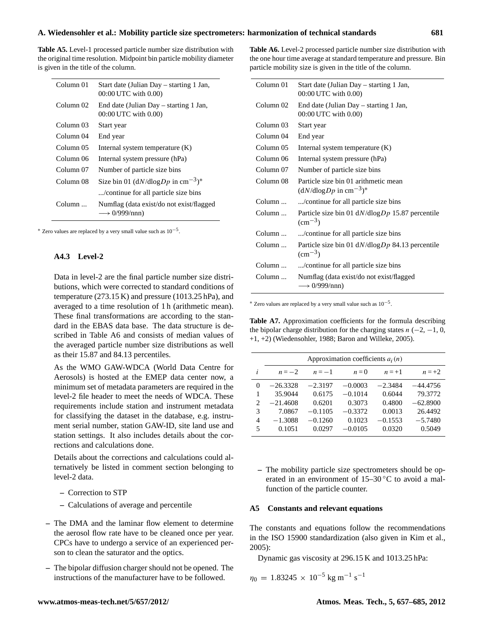**Table A5.** Level-1 processed particle number size distribution with the original time resolution. Midpoint bin particle mobility diameter is given in the title of the column.

| Column 01            | Start date (Julian Day – starting 1 Jan,<br>00:00 UTC with 0.00)    |
|----------------------|---------------------------------------------------------------------|
| Column <sub>02</sub> | End date (Julian Day – starting 1 Jan,<br>00:00 UTC with 0.00)      |
| Column <sub>03</sub> | Start year                                                          |
| Column <sub>04</sub> | End year                                                            |
| Column 05            | Internal system temperature $(K)$                                   |
| Column 06            | Internal system pressure (hPa)                                      |
| Column <sub>07</sub> | Number of particle size bins                                        |
| Column 08            | Size bin 01 (dN/dlogDp in cm <sup>-3</sup> ) <sup>*</sup>           |
|                      | /continue for all particle size bins                                |
| Column               | Numflag (data exist/do not exist/flagged<br>$\rightarrow 0/999/nnn$ |

<sup>∗</sup> Zero values are replaced by a very small value such as 10−<sup>5</sup> .

#### **A4.3 Level-2**

Data in level-2 are the final particle number size distributions, which were corrected to standard conditions of temperature (273.15 K) and pressure (1013.25 hPa), and averaged to a time resolution of 1 h (arithmetic mean). These final transformations are according to the standard in the EBAS data base. The data structure is described in Table A6 and consists of median values of the averaged particle number size distributions as well as their 15.87 and 84.13 percentiles.

As the WMO GAW-WDCA (World Data Centre for Aerosols) is hosted at the EMEP data center now, a minimum set of metadata parameters are required in the level-2 file header to meet the needs of WDCA. These requirements include station and instrument metadata for classifying the dataset in the database, e.g. instrument serial number, station GAW-ID, site land use and station settings. It also includes details about the corrections and calculations done.

Details about the corrections and calculations could alternatively be listed in comment section belonging to level-2 data.

- **–** Correction to STP
- **–** Calculations of average and percentile
- **–** The DMA and the laminar flow element to determine the aerosol flow rate have to be cleaned once per year. CPCs have to undergo a service of an experienced person to clean the saturator and the optics.
- **–** The bipolar diffusion charger should not be opened. The instructions of the manufacturer have to be followed.

**Table A6.** Level-2 processed particle number size distribution with the one hour time average at standard temperature and pressure. Bin particle mobility size is given in the title of the column.

| Column 01            | Start date (Julian Day – starting 1 Jan,<br>00:00 UTC with 0.00)                         |
|----------------------|------------------------------------------------------------------------------------------|
| Column <sub>02</sub> | End date (Julian Day – starting 1 Jan,<br>00:00 UTC with 0.00)                           |
| Column 03            | Start year                                                                               |
| Column <sub>04</sub> | End year                                                                                 |
| Column 05            | Internal system temperature $(K)$                                                        |
| Column 06            | Internal system pressure (hPa)                                                           |
| Column 07            | Number of particle size bins                                                             |
| Column 08            | Particle size bin 01 arithmetic mean<br>$(dN/dlog Dp$ in cm <sup>-3</sup> ) <sup>*</sup> |
| Column               | /continue for all particle size bins                                                     |
| Column               | Particle size bin 01 $dN/dlogDp$ 15.87 percentile<br>$\rm (cm^{-3})$                     |
| Column               | /continue for all particle size bins                                                     |
| Column               | Particle size bin 01 $dN/dlogDp$ 84.13 percentile<br>$\rm (cm^{-3})$                     |
| Column               | /continue for all particle size bins                                                     |
| Column               | Numflag (data exist/do not exist/flagged<br>$\rightarrow$ 0/999/nnn)                     |

\* Zero values are replaced by a very small value such as  $10^{-5}$ .

**Table A7.** Approximation coefficients for the formula describing the bipolar charge distribution for the charging states  $n$  ( $-2$ ,  $-1$ , 0, +1, +2) (Wiedensohler, 1988; Baron and Willeke, 2005).

|          |            | Approximation coefficients $a_i(n)$ |           |           |            |
|----------|------------|-------------------------------------|-----------|-----------|------------|
| i        | $n=-2$     | $n=-1$                              | $n=0$     | $n=+1$    | $n=+2$     |
| $\theta$ | $-26.3328$ | $-2.3197$                           | $-0.0003$ | $-2.3484$ | $-44.4756$ |
| 1        | 35.9044    | 0.6175                              | $-0.1014$ | 0.6044    | 79.3772    |
| 2        | $-21.4608$ | 0.6201                              | 0.3073    | 0.4800    | $-62.8900$ |
| 3        | 7.0867     | $-0.1105$                           | $-0.3372$ | 0.0013    | 26.4492    |
| 4        | $-1.3088$  | $-0.1260$                           | 0.1023    | $-0.1553$ | $-5.7480$  |
| 5        | 0.1051     | 0.0297                              | $-0.0105$ | 0.0320    | 0.5049     |

**–** The mobility particle size spectrometers should be operated in an environment of  $15-30$  °C to avoid a malfunction of the particle counter.

#### **A5 Constants and relevant equations**

The constants and equations follow the recommendations in the ISO 15900 standardization (also given in Kim et al., 2005):

Dynamic gas viscosity at 296.15 K and 1013.25 hPa:

 $\eta_0 = 1.83245 \times 10^{-5}$  kg m<sup>-1</sup> s<sup>-1</sup>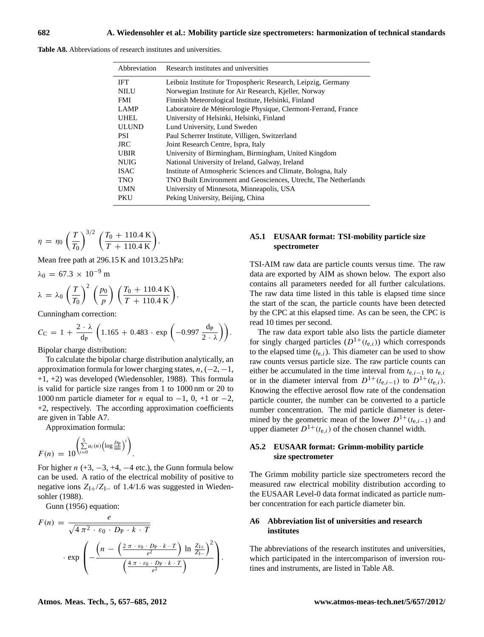**Table A8.** Abbreviations of research institutes and universities.

| Abbreviation | Research institutes and universities                            |
|--------------|-----------------------------------------------------------------|
| <b>IFT</b>   | Leibniz Institute for Tropospheric Research, Leipzig, Germany   |
| <b>NILU</b>  | Norwegian Institute for Air Research, Kjeller, Norway           |
| <b>FMI</b>   | Finnish Meteorological Institute, Helsinki, Finland             |
| <b>LAMP</b>  | Laboratoire de Météorologie Physique, Clermont-Ferrand, France  |
| <b>UHEL</b>  | University of Helsinki, Helsinki, Finland                       |
| <b>ULUND</b> | Lund University, Lund Sweden                                    |
| <b>PSI</b>   | Paul Scherrer Institute, Villigen, Switzerland                  |
| JRC.         | Joint Research Centre, Ispra, Italy                             |
| <b>UBIR</b>  | University of Birmingham, Birmingham, United Kingdom            |
| <b>NUIG</b>  | National University of Ireland, Galway, Ireland                 |
| <b>ISAC</b>  | Institute of Atmospheric Sciences and Climate, Bologna, Italy   |
| <b>TNO</b>   | TNO Built Environment and Geosciences, Utrecht, The Netherlands |
| <b>UMN</b>   | University of Minnesota, Minneapolis, USA                       |
| <b>PKU</b>   | Peking University, Beijing, China                               |

$$
\eta = \eta_0 \left(\frac{T}{T_0}\right)^{3/2} \left(\frac{T_0 + 110.4 \text{ K}}{T + 110.4 \text{ K}}\right).
$$

Mean free path at 296.15 K and 1013.25 hPa:

$$
\lambda_0 = 67.3 \times 10^{-9} \text{ m}
$$
  

$$
\lambda = \lambda_0 \left(\frac{T}{T_0}\right)^2 \left(\frac{p_0}{p}\right) \left(\frac{T_0 + 110.4 \text{ K}}{T + 110.4 \text{ K}}\right).
$$

Cunningham correction:

$$
C_{\rm C} = 1 + \frac{2 \cdot \lambda}{dp} \left( 1.165 + 0.483 \cdot \exp\left( -0.997 \frac{dp}{2 \cdot \lambda} \right) \right).
$$

Bipolar charge distribution:

To calculate the bipolar charge distribution analytically, an approximation formula for lower charging states,  $n, (-2, -1,$ +1, +2) was developed (Wiedensohler, 1988). This formula is valid for particle size ranges from 1 to 1000 nm or 20 to 1000 nm particle diameter for *n* equal to  $-1$ , 0, +1 or  $-2$ , +2, respectively. The according approximation coefficients are given in Table A7.

Approximation formula:

$$
F(n) = 10\left(\sum_{i=0}^{5} a_i(n) \left(\log \frac{D_P}{nm}\right)^i\right).
$$

For higher  $n (+3, -3, +4, -4$  etc.), the Gunn formula below can be used. A ratio of the electrical mobility of positive to negative ions  $Z_{I+}/Z_{I-}$  of 1.4/1.6 was suggested in Wiedensohler (1988).

Gunn (1956) equation:

$$
F(n) = \frac{e}{\sqrt{4 \pi^2 \cdot \varepsilon_0 \cdot D_P \cdot k \cdot T}}
$$

$$
\cdot \exp\left(-\frac{\left(n - \left(\frac{2 \pi \cdot \varepsilon_0 \cdot D_P \cdot k \cdot T}{e^2}\right) \ln \frac{Z_{1+}}{Z_{1-}}\right)^2}{\left(\frac{4 \pi \cdot \varepsilon_0 \cdot D_P \cdot k \cdot T}{e^2}\right)}\right).
$$

## **A5.1 EUSAAR format: TSI-mobility particle size spectrometer**

TSI-AIM raw data are particle counts versus time. The raw data are exported by AIM as shown below. The export also contains all parameters needed for all further calculations. The raw data time listed in this table is elapsed time since the start of the scan, the particle counts have been detected by the CPC at this elapsed time. As can be seen, the CPC is read 10 times per second.

The raw data export table also lists the particle diameter for singly charged particles  $(D^{1+}(t_{e,i}))$  which corresponds to the elapsed time  $(t_{e,i})$ . This diameter can be used to show raw counts versus particle size. The raw particle counts can either be accumulated in the time interval from  $t_{e,i-1}$  to  $t_{e,i}$ or in the diameter interval from  $D^{1+}(t_{e,i-1})$  to  $D^{1+}(t_{e,i})$ . Knowing the effective aerosol flow rate of the condensation particle counter, the number can be converted to a particle number concentration. The mid particle diameter is determined by the geometric mean of the lower  $D^{1+}(t_{e,i-1})$  and upper diameter  $D^{1+}(t_{e,i})$  of the chosen channel width.

#### **A5.2 EUSAAR format: Grimm-mobility particle size spectrometer**

The Grimm mobility particle size spectrometers record the measured raw electrical mobility distribution according to the EUSAAR Level-0 data format indicated as particle number concentration for each particle diameter bin.

## **A6 Abbreviation list of universities and research institutes**

The abbreviations of the research institutes and universities, which participated in the intercomparison of inversion routines and instruments, are listed in Table A8.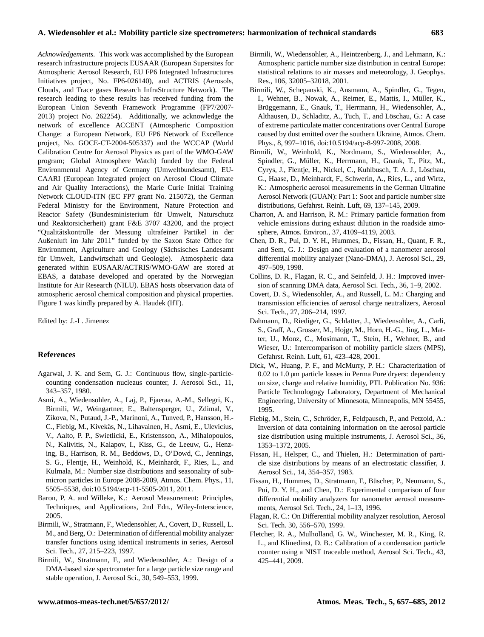*Acknowledgements.* This work was accomplished by the European research infrastructure projects EUSAAR (European Supersites for Atmospheric Aerosol Research, EU FP6 Integrated Infrastructures Initiatives project, No. FP6-026140), and ACTRIS (Aerosols, Clouds, and Trace gases Research InfraStructure Network). The research leading to these results has received funding from the European Union Seventh Framework Programme (FP7/2007- 2013) project No. 262254). Additionally, we acknowledge the network of excellence ACCENT (Atmospheric Composition Change: a European Network, EU FP6 Network of Excellence project, No. GOCE-CT-2004-505337) and the WCCAP (World Calibration Centre for Aerosol Physics as part of the WMO-GAW program; Global Atmosphere Watch) funded by the Federal Environmental Agency of Germany (Umweltbundesamt), EU-CAARI (European Integrated project on Aerosol Cloud Climate and Air Quality Interactions), the Marie Curie Initial Training Network CLOUD-ITN (EC FP7 grant No. 215072), the German Federal Ministry for the Environment, Nature Protection and Reactor Safety (Bundesministerium für Umwelt, Naturschutz und Reaktorsicherheit) grant F&E 3707 43200, and the project "Qualitätskontrolle der Messung ultrafeiner Partikel in der Außenluft im Jahr 2011" funded by the Saxon State Office for Environment, Agriculture and Geology (Sächsisches Landesamt für Umwelt, Landwirtschaft und Geologie). Atmospheric data generated within EUSAAR/ACTRIS/WMO-GAW are stored at EBAS, a database developed and operated by the Norwegian Institute for Air Research (NILU). EBAS hosts observation data of atmospheric aerosol chemical composition and physical properties. Figure 1 was kindly prepared by A. Haudek (IfT).

Edited by: J.-L. Jimenez

#### **References**

- Agarwal, J. K. and Sem, G. J.: Continuous flow, single-particlecounting condensation nucleaus counter, J. Aerosol Sci., 11, 343–357, 1980.
- Asmi, A., Wiedensohler, A., Laj, P., Fjaeraa, A.-M., Sellegri, K., Birmili, W., Weingartner, E., Baltensperger, U., Zdimal, V., Zikova, N., Putaud, J.-P., Marinoni, A., Tunved, P., Hansson, H.- C., Fiebig, M., Kivekäs, N., Lihavainen, H., Asmi, E., Ulevicius, V., Aalto, P. P., Swietlicki, E., Kristensson, A., Mihalopoulos, N., Kalivitis, N., Kalapov, I., Kiss, G., de Leeuw, G., Henzing, B., Harrison, R. M., Beddows, D., O'Dowd, C., Jennings, S. G., Flentje, H., Weinhold, K., Meinhardt, F., Ries, L., and Kulmala, M.: Number size distributions and seasonality of submicron particles in Europe 2008-2009, Atmos. Chem. Phys., 11, 5505–5538, [doi:10.5194/acp-11-5505-2011,](http://dx.doi.org/10.5194/acp-11-5505-2011) 2011.
- Baron, P. A. and Willeke, K.: Aerosol Measurement: Principles, Techniques, and Applications, 2nd Edn., Wiley-Interscience, 2005.
- Birmili, W., Stratmann, F., Wiedensohler, A., Covert, D., Russell, L. M., and Berg, O.: Determination of differential mobility analyzer transfer functions using identical instruments in series, Aerosol Sci. Tech., 27, 215–223, 1997.
- Birmili, W., Stratmann, F., and Wiedensohler, A.: Design of a DMA-based size spectrometer for a large particle size range and stable operation, J. Aerosol Sci., 30, 549–553, 1999.
- Birmili, W., Wiedensohler, A., Heintzenberg, J., and Lehmann, K.: Atmospheric particle number size distribution in central Europe: statistical relations to air masses and meteorology, J. Geophys. Res., 106, 32005–32018, 2001.
- Birmili, W., Schepanski, K., Ansmann, A., Spindler, G., Tegen, I., Wehner, B., Nowak, A., Reimer, E., Mattis, I., Müller, K., Brüggemann, E., Gnauk, T., Herrmann, H., Wiedensohler, A., Althausen, D., Schladitz, A., Tuch, T., and Löschau, G.: A case of extreme particulate matter concentrations over Central Europe caused by dust emitted over the southern Ukraine, Atmos. Chem. Phys., 8, 997–1016, [doi:10.5194/acp-8-997-2008,](http://dx.doi.org/10.5194/acp-8-997-2008) 2008.
- Birmili, W., Weinhold, K., Nordmann, S., Wiedensohler, A., Spindler, G., Müller, K., Herrmann, H., Gnauk, T., Pitz, M., Cyrys, J., Flentje, H., Nickel, C., Kuhlbusch, T. A. J., Löschau, G., Haase, D., Meinhardt, F., Schwerin, A., Ries, L., and Wirtz, K.: Atmospheric aerosol measurements in the German Ultrafine Aerosol Network (GUAN): Part 1: Soot and particle number size distributions, Gefahrst. Reinh. Luft, 69, 137–145, 2009.
- Charron, A. and Harrison, R. M.: Primary particle formation from vehicle emissions during exhaust dilution in the roadside atmosphere, Atmos. Environ., 37, 4109–4119, 2003.
- Chen, D. R., Pui, D. Y. H., Hummes, D., Fissan, H., Quant, F. R., and Sem, G. J.: Design and evaluation of a nanometer aerosol differential mobility analyzer (Nano-DMA), J. Aerosol Sci., 29, 497–509, 1998.
- Collins, D. R., Flagan, R. C., and Seinfeld, J. H.: Improved inversion of scanning DMA data, Aerosol Sci. Tech., 36, 1–9, 2002.
- Covert, D. S., Wiedensohler, A., and Russell, L. M.: Charging and transmission efficiencies of aerosol charge neutralizers, Aerosol Sci. Tech., 27, 206–214, 1997.
- Dahmann, D., Riediger, G., Schlatter, J., Wiedensohler, A., Carli, S., Graff, A., Grosser, M., Hojgr, M., Horn, H.-G., Jing, L., Matter, U., Monz, C., Mosimann, T., Stein, H., Wehner, B., and Wieser, U.: Intercomparison of mobility particle sizers (MPS), Gefahrst. Reinh. Luft, 61, 423–428, 2001.
- Dick, W., Huang, P. F., and McMurry, P. H.: Characterization of 0.02 to 1.0 µm particle losses in Perma Pure dryers: dependency on size, charge and relative humidity, PTL Publication No. 936: Particle Technologogy Laboratory, Department of Mechanical Engineering, University of Minnesota, Minneapolis, MN 55455, 1995.
- Fiebig, M., Stein, C., Schroder, F., Feldpausch, P., and Petzold, A.: ¨ Inversion of data containing information on the aerosol particle size distribution using multiple instruments, J. Aerosol Sci., 36, 1353–1372, 2005.
- Fissan, H., Helsper, C., and Thielen, H.: Determination of particle size distributions by means of an electrostatic classifier, J. Aerosol Sci., 14, 354–357, 1983.
- Fissan, H., Hummes, D., Stratmann, F., Buscher, P., Neumann, S., ¨ Pui, D. Y. H., and Chen, D.: Experimental comparison of four differential mobility analyzers for nanometer aerosol measurements, Aerosol Sci. Tech., 24, 1–13, 1996.
- Flagan, R. C.: On Differential mobility analyzer resolution, Aerosol Sci. Tech. 30, 556–570, 1999.
- Fletcher, R. A., Mulholland, G. W., Winchester, M. R., King, R. L., and Klinedinst, D. B.: Calibration of a condensation particle counter using a NIST traceable method, Aerosol Sci. Tech., 43, 425–441, 2009.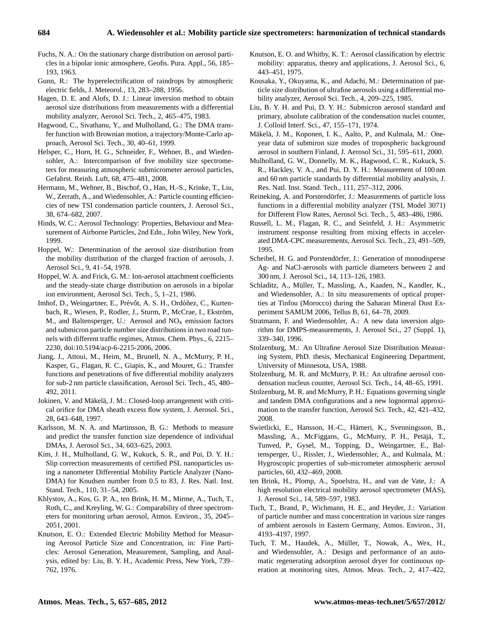- Fuchs, N. A.: On the stationary charge distribution on aerosol particles in a bipolar ionic atmosphere, Geofis. Pura. Appl., 56, 185– 193, 1963.
- Gunn, R.: The hyperelectrification of raindrops by atmospheric electric fields, J. Meteorol., 13, 283–288, 1956.
- Hagen, D. E. and Alofs, D. J.: Linear inversion method to obtain aerosol size distributions from measurements with a differential mobility analyzer, Aerosol Sci. Tech., 2, 465–475, 1983.
- Hagwood, C., Sivathanu, Y., and Mulholland, G.: The DMA transfer function with Brownian motion, a trajectory/Monte-Carlo approach, Aerosol Sci. Tech., 30, 40–61, 1999.
- Helsper, C., Horn, H. G., Schneider, F., Wehner, B., and Wiedensohler, A.: Intercomparison of five mobility size spectrometers for measuring atmospheric submicrometer aerosol particles, Gefahrst. Reinh. Luft, 68, 475–481, 2008.
- Hermann, M., Wehner, B., Bischof, O., Han, H.-S., Krinke, T., Liu, W., Zerrath, A., and Wiedensohler, A.: Particle counting efficiencies of new TSI condensation particle counters, J. Aerosol Sci., 38, 674–682, 2007.
- Hinds, W. C.: Aerosol Technology: Properties, Behaviour and Measurement of Airborne Particles, 2nd Edn., John Wiley, New York, 1999.
- Hoppel, W.: Determination of the aerosol size distribution from the mobility distribution of the charged fraction of aerosols, J. Aerosol Sci., 9, 41–54, 1978.
- Hoppel, W. A. and Frick, G. M.: Ion-aerosol attachment coefficients and the steady-state charge distribution on aerosols in a bipolar ion environment, Aerosol Sci. Tech., 5, 1–21, 1986.
- Imhof, D., Weingartner, E., Prévôt, A. S. H., Ordóñez, C., Kurtenbach, R., Wiesen, P., Rodler, J., Sturm, P., McCrae, I., Ekström, M., and Baltensperger, U.: Aerosol and  $NO<sub>x</sub>$  emission factors and submicron particle number size distributions in two road tunnels with different traffic regimes, Atmos. Chem. Phys., 6, 2215– 2230, [doi:10.5194/acp-6-2215-2006,](http://dx.doi.org/10.5194/acp-6-2215-2006) 2006.
- Jiang, J., Attoui, M., Heim, M., Brunell, N. A., McMurry, P. H., Kasper, G., Flagan, R. C., Giapis, K., and Mouret, G.: Transfer functions and penetrations of five differential mobility analyzers for sub-2 nm particle classification, Aerosol Sci. Tech., 45, 480– 492, 2011.
- Jokinen, V. and Mäkelä, J. M.: Closed-loop arrangement with critical orifice for DMA sheath excess flow system, J. Aerosol. Sci., 28, 643–648, 1997.
- Karlsson, M. N. A. and Martinsson, B. G.: Methods to measure and predict the transfer function size dependence of individual DMAs, J. Aerosol Sci., 34, 603–625, 2003.
- Kim, J. H., Mulholland, G. W., Kukuck, S. R., and Pui, D. Y. H.: Slip correction measurements of certified PSL nanoparticles using a nanometer Differential Mobility Particle Analyzer (Nano-DMA) for Knudsen number from 0.5 to 83, J. Res. Natl. Inst. Stand. Tech., 110, 31–54, 2005.
- Khlystov, A., Kos, G. P. A., ten Brink, H. M., Mirme, A., Tuch, T., Roth, C., and Kreyling, W. G.: Comparability of three spectrometers for monitoring urban aerosol, Atmos. Environ., 35, 2045– 2051, 2001.
- Knutson, E. O.: Extended Electric Mobility Method for Measuring Aerosol Particle Size and Concentration, in: Fine Particles: Aerosol Generation, Measurement, Sampling, and Analysis, edited by: Liu, B. Y. H., Academic Press, New York, 739– 762, 1976.
- Knutson, E. O. and Whitby, K. T.: Aerosol classification by electric mobility: apparatus, theory and applications, J. Aerosol Sci., 6, 443–451, 1975.
- Kousaka, Y., Okuyama, K., and Adachi, M.: Determination of particle size distribution of ultrafine aerosols using a differential mobility analyzer, Aerosol Sci. Tech., 4, 209–225, 1985.
- Liu, B. Y. H. and Pui, D. Y. H.: Submicron aerosol standard and primary, absolute calibration of the condensation nuclei counter, J. Colloid Interf. Sci., 47, 155–171, 1974.
- Mäkelä, J. M., Koponen, I. K., Aalto, P., and Kulmala, M.: Oneyear data of submiron size modes of tropospheric background aerosol in southern Finland, J. Aerosol Sci., 31, 595–611, 2000.
- Mulholland, G. W., Donnelly, M. K., Hagwood, C. R., Kukuck, S. R., Hackley, V. A., and Pui, D. Y. H.: Measurement of 100 nm and 60 nm particle standards by differential mobility analysis, J. Res. Natl. Inst. Stand. Tech., 111, 257–312, 2006.
- Reineking, A. and Porstendörfer, J.: Measurements of particle loss functions in a differential mobility analyzer (TSI, Model 3071) for Different Flow Rates, Aerosol Sci. Tech., 5, 483–486, 1986.
- Russell, L. M., Flagan, R. C., and Seinfeld, J. H.: Asymmetric instrument response resulting from mixing effects in accelerated DMA-CPC measurements, Aerosol Sci. Tech., 23, 491–509, 1995.
- Scheibel, H. G. and Porstendörfer, J.: Generation of monodisperse Ag- and NaCl-aerosols with particle diameters between 2 and 300 nm, J. Aerosol Sci., 14, 113–126, 1983.
- Schladitz, A., Müller, T., Massling, A., Kaaden, N., Kandler, K., and Wiedensohler, A.: In situ measurements of optical properties at Tinfou (Morocco) during the Saharan Mineral Dust Experiment SAMUM 2006, Tellus B, 61, 64–78, 2009.
- Stratmann, F. and Wiedensohler, A.: A new data inversion algorithm for DMPS-measurements, J. Aerosol Sci., 27 (Suppl. 1), 339–340, 1996.
- Stolzenburg, M.: An Ultrafine Aerosol Size Distribution Measuring System, PhD. thesis, Mechanical Engineering Department, University of Minnesota, USA, 1988.
- Stolzenburg, M. R. and McMurry, P. H.: An ultrafine aerosol condensation nucleus counter, Aerosol Sci. Tech., 14, 48–65, 1991.
- Stolzenburg, M. R. and McMurry, P. H.: Equations governing single and tandem DMA configurations and a new lognormal approximation to the transfer function, Aerosol Sci. Tech., 42, 421–432, 2008.
- Swietlicki, E., Hansson, H.-C., Hämeri, K., Svenningsson, B., Massling, A., McFiggans, G., McMurry, P. H., Petäjä, T., Tunved, P., Gysel, M., Topping, D., Weingartner, E., Baltensperger, U., Rissler, J., Wiedensohler, A., and Kulmala, M.: Hygroscopic properties of sub-micrometer atmospheric aerosol particles, 60, 432–469, 2008.
- ten Brink, H., Plomp, A., Spoelstra, H., and van de Vate, J.: A high resolution electrical mobility aerosol spectrometer (MAS), J. Aerosol Sci., 14, 589–597, 1983.
- Tuch, T., Brand, P., Wichmann, H. E., and Heyder, J.: Variation of particle number and mass concentration in various size ranges of ambient aerosols in Eastern Germany, Atmos. Environ., 31, 4193–4197, 1997.
- Tuch, T. M., Haudek, A., Müller, T., Nowak, A., Wex, H., and Wiedensohler, A.: Design and performance of an automatic regenerating adsorption aerosol dryer for continuous operation at monitoring sites, Atmos. Meas. Tech., 2, 417–422,